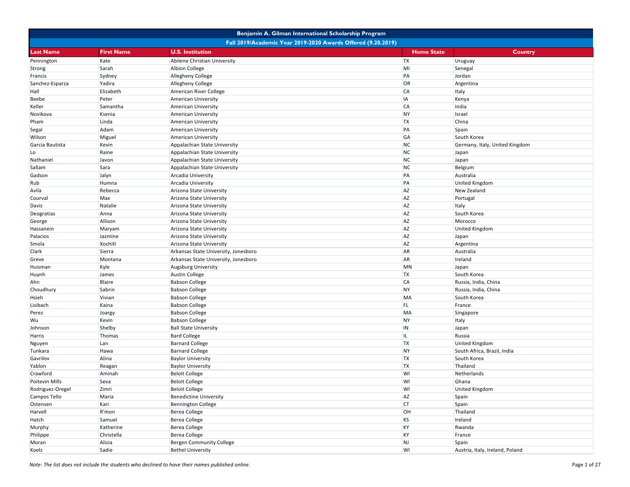|                                                              | Benjamin A. Gilman International Scholarship Program |                                      |                   |                                 |  |
|--------------------------------------------------------------|------------------------------------------------------|--------------------------------------|-------------------|---------------------------------|--|
| Fall 2019/Academic Year 2019-2020 Awards Offered (9.20.2019) |                                                      |                                      |                   |                                 |  |
| <b>Last Name</b>                                             | <b>First Name</b>                                    | <b>U.S. Institution</b>              | <b>Home State</b> | <b>Country</b>                  |  |
| Pennington                                                   | Kate                                                 | Abilene Christian University         | <b>TX</b>         | Uruguay                         |  |
| Strong                                                       | Sarah                                                | <b>Albion College</b>                | MI                | Senegal                         |  |
| Francis                                                      | Sydney                                               | <b>Allegheny College</b>             | PA                | Jordan                          |  |
| Sanchez-Esparza                                              | Yadira                                               | Allegheny College                    | OR                | Argentina                       |  |
| Hall                                                         | Elizabeth                                            | American River College               | <b>CA</b>         | Italy                           |  |
| Beebe                                                        | Peter                                                | American University                  | IA                | Kenya                           |  |
| Keller                                                       | Samantha                                             | <b>American University</b>           | <b>CA</b>         | India                           |  |
| Novikova                                                     | Ksenia                                               | American University                  | <b>NY</b>         | Israel                          |  |
| Pham                                                         | Linda                                                | <b>American University</b>           | <b>TX</b>         | China                           |  |
| Segal                                                        | Adam                                                 | American University                  | PA                | Spain                           |  |
| Wilson                                                       | Miguel                                               | American University                  | GA                | South Korea                     |  |
| Garcia Bautista                                              | Kevin                                                | Appalachian State University         | <b>NC</b>         | Germany, Italy, United Kingdom  |  |
| Lo                                                           | Raine                                                | Appalachian State University         | <b>NC</b>         | Japan                           |  |
| Nathaniel                                                    | Javon                                                | Appalachian State University         | <b>NC</b>         | Japan                           |  |
| Sallam                                                       | Sara                                                 | Appalachian State University         | <b>NC</b>         | Belgium                         |  |
| Gadson                                                       | Jalyn                                                | Arcadia University                   | PA                | Australia                       |  |
| Rub                                                          | Humna                                                | Arcadia University                   | PA                | <b>United Kingdom</b>           |  |
| Avila                                                        | Rebecca                                              | Arizona State University             | <b>AZ</b>         | New Zealand                     |  |
| Courval                                                      | Max                                                  | Arizona State University             | <b>AZ</b>         | Portugal                        |  |
| Davis                                                        | Natalie                                              | Arizona State University             | <b>AZ</b>         | Italy                           |  |
| Deogratias                                                   | Anna                                                 | Arizona State University             | <b>AZ</b>         | South Korea                     |  |
| George                                                       | Allison                                              | Arizona State University             | <b>AZ</b>         | Morocco                         |  |
| Hassanein                                                    | Maryam                                               | Arizona State University             | <b>AZ</b>         | <b>United Kingdom</b>           |  |
| Palacios                                                     | Jazmine                                              | Arizona State University             | <b>AZ</b>         | Japan                           |  |
| Smola                                                        | <b>Xochitl</b>                                       | Arizona State University             | <b>AZ</b>         | Argentina                       |  |
| Clark                                                        | Sierra                                               | Arkansas State University, Jonesboro | <b>AR</b>         | Australia                       |  |
| Greve                                                        | Montana                                              | Arkansas State University, Jonesboro | <b>AR</b>         | Ireland                         |  |
| Huisman                                                      | Kyle                                                 | <b>Augsburg University</b>           | <b>MN</b>         | Japan                           |  |
| Huynh                                                        | James                                                | <b>Austin College</b>                | <b>TX</b>         | South Korea                     |  |
| Ahn                                                          | Blaire                                               | <b>Babson College</b>                | <b>CA</b>         | Russia, India, China            |  |
| Choudhury                                                    | Sabrin                                               | <b>Babson College</b>                | <b>NY</b>         | Russia, India, China            |  |
| Hsieh                                                        | Vivian                                               | <b>Babson College</b>                | <b>MA</b>         | South Korea                     |  |
| Lisibach                                                     | Kaina                                                | <b>Babson College</b>                | FL.               | France                          |  |
| Perez                                                        | Joargy                                               | <b>Babson College</b>                | <b>MA</b>         | Singapore                       |  |
| Wu                                                           | Kevin                                                | <b>Babson College</b>                | <b>NY</b>         | Italy                           |  |
| Johnson                                                      | Shelby                                               | <b>Ball State University</b>         | IN                | Japan                           |  |
| Harris                                                       | Thomas                                               | <b>Bard College</b>                  | IL.               | Russia                          |  |
| Nguyen                                                       | Lan                                                  | <b>Barnard College</b>               | <b>TX</b>         | <b>United Kingdom</b>           |  |
| Tunkara                                                      | Hawa                                                 | <b>Barnard College</b>               | <b>NY</b>         | South Africa, Brazil, India     |  |
| Gavrilov                                                     | Alina                                                | <b>Baylor University</b>             | <b>TX</b>         | South Korea                     |  |
| Yablon                                                       | Reagan                                               | <b>Baylor University</b>             | <b>TX</b>         | Thailand                        |  |
| Crawford                                                     | Aminah                                               | <b>Beloit College</b>                | WI                | Netherlands                     |  |
| Poitevin Mills                                               | Seva                                                 | <b>Beloit College</b>                | WI                | Ghana                           |  |
| Rodriguez-Oregel                                             | Zimri                                                | <b>Beloit College</b>                | WI                | <b>United Kingdom</b>           |  |
| Campos Tello                                                 | Maria                                                | <b>Benedictine University</b>        | <b>AZ</b>         | Spain                           |  |
| Ostensen                                                     | Kari                                                 | <b>Bennington College</b>            | <b>CT</b>         | Spain                           |  |
| Harvell                                                      | R'mon                                                | <b>Berea College</b>                 | OH                | Thailand                        |  |
| Hatch                                                        | Samuel                                               | <b>Berea College</b>                 | <b>KS</b>         | Ireland                         |  |
| Murphy                                                       | Katherine                                            | Berea College                        | KY                | Rwanda                          |  |
| Philippe                                                     | Christella                                           | <b>Berea College</b>                 | <b>KY</b>         | France                          |  |
| Moran                                                        | Alicia                                               | Bergen Community College             | NJ                | Spain                           |  |
| Koelz                                                        | Sadie                                                | <b>Bethel University</b>             | WI                | Austria, Italy, Ireland, Poland |  |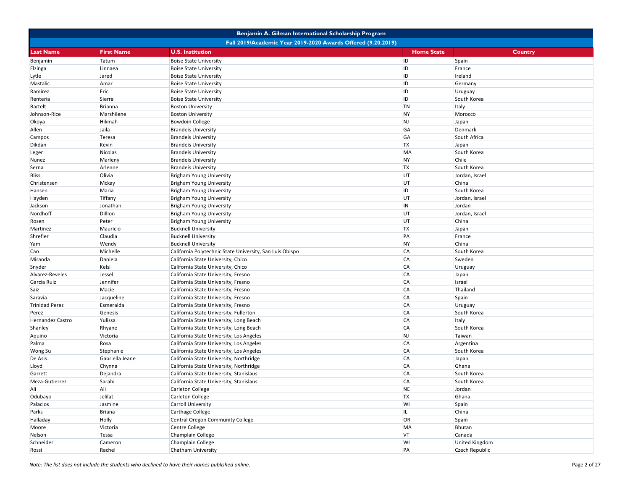|                       |                   | Benjamin A. Gilman International Scholarship Program         |                   |                       |
|-----------------------|-------------------|--------------------------------------------------------------|-------------------|-----------------------|
|                       |                   | Fall 2019/Academic Year 2019-2020 Awards Offered (9.20.2019) |                   |                       |
| <b>Last Name</b>      | <b>First Name</b> | <b>U.S. Institution</b>                                      | <b>Home State</b> | <b>Country</b>        |
| Benjamin              | Tatum             | <b>Boise State University</b>                                | ID                | Spain                 |
| Elzinga               | Linnaea           | <b>Boise State University</b>                                | ID                | France                |
| Lytle                 | Jared             | <b>Boise State University</b>                                | ID                | Ireland               |
| Mastalic              | Amar              | <b>Boise State University</b>                                | ID                | Germany               |
| Ramirez               | Eric              | <b>Boise State University</b>                                | ID                | Uruguay               |
| Renteria              | Sierra            | <b>Boise State University</b>                                | ID                | South Korea           |
| <b>Bartelt</b>        | Brianna           | <b>Boston University</b>                                     | <b>TN</b>         | Italy                 |
| Johnson-Rice          | Marshilene        | <b>Boston University</b>                                     | <b>NY</b>         | Morocco               |
| Okoya                 | Hikmah            | <b>Bowdoin College</b>                                       | <b>NJ</b>         | Japan                 |
| Allen                 | Jaila             | <b>Brandeis University</b>                                   | GA                | Denmark               |
| Campos                | Teresa            | <b>Brandeis University</b>                                   | GA                | South Africa          |
| Dikdan                | Kevin             | <b>Brandeis University</b>                                   | <b>TX</b>         | Japan                 |
| Leger                 | Nicolas           | <b>Brandeis University</b>                                   | MA                | South Korea           |
| Nunez                 | Marleny           | <b>Brandeis University</b>                                   | <b>NY</b>         | Chile                 |
| Serna                 | Arlenne           | <b>Brandeis University</b>                                   | <b>TX</b>         | South Korea           |
| Bliss                 | Olivia            | Brigham Young University                                     | UT                | Jordan, Israel        |
| Christensen           | Mckay             | <b>Brigham Young University</b>                              | UT                | China                 |
| Hansen                | Maria             | <b>Brigham Young University</b>                              | ID                | South Korea           |
| Hayden                | Tiffany           | <b>Brigham Young University</b>                              | UT                | Jordan, Israel        |
| Jackson               | Jonathan          | <b>Brigham Young University</b>                              | IN                | Jordan                |
| Nordhoff              | Dillon            | <b>Brigham Young University</b>                              | UT                | Jordan, Israel        |
| Rosen                 | Peter             | <b>Brigham Young University</b>                              | UT                | China                 |
| Martinez              | Mauricio          | <b>Bucknell University</b>                                   | <b>TX</b>         | Japan                 |
| Shrefler              | Claudia           | <b>Bucknell University</b>                                   | PA                | France                |
| Yam                   | Wendy             | <b>Bucknell University</b>                                   | <b>NY</b>         | China                 |
| Cao                   | Michelle          | California Polytechnic State University, San Luis Obispo     | <b>CA</b>         | South Korea           |
| Miranda               | Daniela           | California State University, Chico                           | <b>CA</b>         | Sweden                |
| Snyder                | Kelsi             | California State University, Chico                           | <b>CA</b>         | Uruguay               |
| Alvarez-Reveles       | Jessel            | California State University, Fresno                          | <b>CA</b>         | Japan                 |
| Garcia Ruiz           | Jennifer          | California State University, Fresno                          | <b>CA</b>         | Israel                |
| Saiz                  | Macie             | California State University, Fresno                          | <b>CA</b>         | Thailand              |
| Saravia               | Jacqueline        | California State University, Fresno                          | <b>CA</b>         | Spain                 |
| <b>Trinidad Perez</b> | Esmeralda         | California State University, Fresno                          | <b>CA</b>         | Uruguay               |
| Perez                 | Genesis           | California State University, Fullerton                       | <b>CA</b>         | South Korea           |
| Hernandez Castro      | Yulissa           | California State University, Long Beach                      | <b>CA</b>         | Italy                 |
| Shanley               | Rhyane            | California State University, Long Beach                      | <b>CA</b>         | South Korea           |
| Aquino                | Victoria          | California State University, Los Angeles                     | <b>NJ</b>         | Taiwan                |
| Palma                 | Rosa              | California State University, Los Angeles                     | <b>CA</b>         | Argentina             |
| Wong Su               | Stephanie         | California State University, Los Angeles                     | <b>CA</b>         | South Korea           |
| De Asis               | Gabriella Jeane   | California State University, Northridge                      | <b>CA</b>         | Japan                 |
| Lloyd                 | Chynna            | California State University, Northridge                      | <b>CA</b>         | Ghana                 |
| Garrett               | Dejandra          | California State University, Stanislaus                      | <b>CA</b>         | South Korea           |
| Meza-Gutierrez        | Sarahi            | California State University, Stanislaus                      | <b>CA</b>         | South Korea           |
| Ali                   | Ali               | Carleton College                                             | <b>NE</b>         | Jordan                |
| Odubayo               | Jelilat           | Carleton College                                             | <b>TX</b>         | Ghana                 |
| Palacios              | Jasmine           | Carroll University                                           | WI                | Spain                 |
| Parks                 | <b>Briana</b>     | Carthage College                                             | IL.               | China                 |
| Halladay              | Holly             | <b>Central Oregon Community College</b>                      | OR                | Spain                 |
| Moore                 | Victoria          | Centre College                                               | MA                | Bhutan                |
| Nelson                | Tessa             | Champlain College                                            | <b>VT</b>         | Canada                |
| Schneider             | Cameron           | Champlain College                                            | WI                | <b>United Kingdom</b> |
| Rossi                 | Rachel            | Chatham University                                           | PA                | Czech Republic        |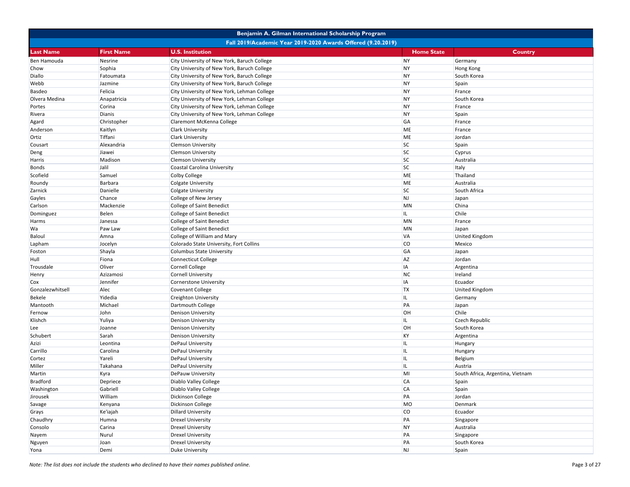|                  |                                                              | Benjamin A. Gilman International Scholarship Program |                   |                                  |  |  |
|------------------|--------------------------------------------------------------|------------------------------------------------------|-------------------|----------------------------------|--|--|
|                  | Fall 2019/Academic Year 2019-2020 Awards Offered (9.20.2019) |                                                      |                   |                                  |  |  |
| <b>Last Name</b> | <b>First Name</b>                                            | <b>U.S. Institution</b>                              | <b>Home State</b> | Country                          |  |  |
| Ben Hamouda      | Nesrine                                                      | City University of New York, Baruch College          | <b>NY</b>         | Germany                          |  |  |
| Chow             | Sophia                                                       | City University of New York, Baruch College          | <b>NY</b>         | Hong Kong                        |  |  |
| Diallo           | Fatoumata                                                    | City University of New York, Baruch College          | <b>NY</b>         | South Korea                      |  |  |
| Webb             | Jazmine                                                      | City University of New York, Baruch College          | <b>NY</b>         | Spain                            |  |  |
| Basdeo           | Felicia                                                      | City University of New York, Lehman College          | <b>NY</b>         | France                           |  |  |
| Olvera Medina    | Anapatricia                                                  | City University of New York, Lehman College          | <b>NY</b>         | South Korea                      |  |  |
| Portes           | Corina                                                       | City University of New York, Lehman College          | <b>NY</b>         | France                           |  |  |
| Rivera           | Dianis                                                       | City University of New York, Lehman College          | <b>NY</b>         | Spain                            |  |  |
| Agard            | Christopher                                                  | Claremont McKenna College                            | GA                | France                           |  |  |
| Anderson         | Kaitlyn                                                      | Clark University                                     | <b>ME</b>         | France                           |  |  |
| Ortiz            | Tiffani                                                      | Clark University                                     | ME                | Jordan                           |  |  |
| Cousart          | Alexandria                                                   | <b>Clemson University</b>                            | <b>SC</b>         | Spain                            |  |  |
| Deng             | Jiawei                                                       | <b>Clemson University</b>                            | <b>SC</b>         | Cyprus                           |  |  |
| Harris           | Madison                                                      | <b>Clemson University</b>                            | <b>SC</b>         | Australia                        |  |  |
| Bonds            | Jalil                                                        | Coastal Carolina University                          | <b>SC</b>         | Italy                            |  |  |
| Scofield         | Samuel                                                       | Colby College                                        | ME                | Thailand                         |  |  |
| Roundy           | <b>Barbara</b>                                               | <b>Colgate University</b>                            | ME                | Australia                        |  |  |
| Zarnick          | Danielle                                                     | <b>Colgate University</b>                            | <b>SC</b>         | South Africa                     |  |  |
| Gayles           | Chance                                                       | College of New Jersey                                | NJ                | Japan                            |  |  |
| Carlson          | Mackenzie                                                    | College of Saint Benedict                            | <b>MN</b>         | China                            |  |  |
| Dominguez        | Belen                                                        | College of Saint Benedict                            | IL.               | Chile                            |  |  |
| Harms            | Janessa                                                      | College of Saint Benedict                            | MN                | France                           |  |  |
| Wa               | Paw Law                                                      | College of Saint Benedict                            | MN                | Japan                            |  |  |
| Baloul           | Amna                                                         | College of William and Mary                          | <b>VA</b>         | <b>United Kingdom</b>            |  |  |
| Lapham           | Jocelyn                                                      | Colorado State University, Fort Collins              | <b>CO</b>         | Mexico                           |  |  |
| Foston           | Shayla                                                       | <b>Columbus State University</b>                     | GA                | Japan                            |  |  |
| Hull             | Fiona                                                        | <b>Connecticut College</b>                           | <b>AZ</b>         | Jordan                           |  |  |
| Trousdale        | Oliver                                                       | <b>Cornell College</b>                               | <b>IA</b>         | Argentina                        |  |  |
| Henry            | Azizamosi                                                    | <b>Cornell University</b>                            | NC                | Ireland                          |  |  |
| Cox              | Jennifer                                                     | Cornerstone University                               | <b>IA</b>         | Ecuador                          |  |  |
| Gonzalezwhitsell | Alec                                                         | <b>Covenant College</b>                              | <b>TX</b>         | <b>United Kingdom</b>            |  |  |
| Bekele           | Yidedia                                                      | Creighton University                                 | IL.               | Germany                          |  |  |
| Mantooth         | Michael                                                      | Dartmouth College                                    | PA                | Japan                            |  |  |
| Fernow           | John                                                         | Denison University                                   | <b>OH</b>         | Chile                            |  |  |
| Klishch          | Yuliya                                                       | <b>Denison University</b>                            | IL.               | <b>Czech Republic</b>            |  |  |
| Lee              | Joanne                                                       | Denison University                                   | OH                | South Korea                      |  |  |
| Schubert         | Sarah                                                        | <b>Denison University</b>                            | KY                | Argentina                        |  |  |
| Azizi            | Leontina                                                     | <b>DePaul University</b>                             | IL                | Hungary                          |  |  |
| Carrillo         | Carolina                                                     | DePaul University                                    | IL                | Hungary                          |  |  |
| Cortez           | Yareli                                                       | <b>DePaul University</b>                             | IL                | Belgium                          |  |  |
| Miller           | Takahana                                                     | DePaul University                                    | IL.               | Austria                          |  |  |
| Martin           | Kyra                                                         | DePauw University                                    | MI                | South Africa, Argentina, Vietnam |  |  |
| <b>Bradford</b>  | Depriece                                                     | Diablo Valley College                                | <b>CA</b>         | Spain                            |  |  |
| Washington       | Gabriell                                                     | Diablo Valley College                                | CA                | Spain                            |  |  |
| Jirousek         | William                                                      | Dickinson College                                    | PA                | Jordan                           |  |  |
| Savage           | Kenyana                                                      | Dickinson College                                    | MO                | Denmark                          |  |  |
| Grays            | Ke'iajah                                                     | <b>Dillard University</b>                            | <b>CO</b>         | Ecuador                          |  |  |
| Chaudhry         | Humna                                                        | <b>Drexel University</b>                             | PA                | Singapore                        |  |  |
| Consolo          | Carina                                                       | <b>Drexel University</b>                             | <b>NY</b>         | Australia                        |  |  |
| Nayem            | Nurul                                                        | <b>Drexel University</b>                             | PA                | Singapore                        |  |  |
| Nguyen           | Joan                                                         | <b>Drexel University</b>                             | PA                | South Korea                      |  |  |
| Yona             | Demi                                                         | Duke University                                      | NJ                | Spain                            |  |  |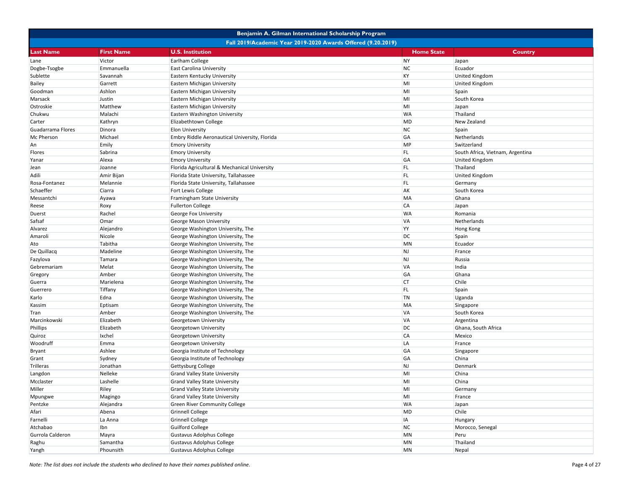|                                                              |                   | Benjamin A. Gilman International Scholarship Program |                   |                                  |  |
|--------------------------------------------------------------|-------------------|------------------------------------------------------|-------------------|----------------------------------|--|
| Fall 2019/Academic Year 2019-2020 Awards Offered (9.20.2019) |                   |                                                      |                   |                                  |  |
| <b>Last Name</b>                                             | <b>First Name</b> | <b>U.S. Institution</b>                              | <b>Home State</b> | <b>Country</b>                   |  |
| Lane                                                         | Victor            | Earlham College                                      | <b>NY</b>         | Japan                            |  |
| Dogbe-Tsogbe                                                 | Emmanuella        | <b>East Carolina University</b>                      | <b>NC</b>         | Ecuador                          |  |
| Sublette                                                     | Savannah          | Eastern Kentucky University                          | KY                | <b>United Kingdom</b>            |  |
| Bailey                                                       | Garrett           | Eastern Michigan University                          | MI                | <b>United Kingdom</b>            |  |
| Goodman                                                      | Ashlon            | Eastern Michigan University                          | MI                | Spain                            |  |
| Marsack                                                      | Justin            | Eastern Michigan University                          | MI                | South Korea                      |  |
| Ostroskie                                                    | Matthew           | Eastern Michigan University                          | MI                | Japan                            |  |
| Chukwu                                                       | Malachi           | Eastern Washington University                        | <b>WA</b>         | Thailand                         |  |
| Carter                                                       | Kathryn           | Elizabethtown College                                | <b>MD</b>         | New Zealand                      |  |
| Guadarrama Flores                                            | Dinora            | <b>Elon University</b>                               | <b>NC</b>         | Spain                            |  |
| Mc Pherson                                                   | Michael           | Embry Riddle Aeronautical University, Florida        | GA                | Netherlands                      |  |
| An                                                           | Emily             | <b>Emory University</b>                              | <b>MP</b>         | Switzerland                      |  |
| <b>Flores</b>                                                | Sabrina           | <b>Emory University</b>                              | FL.               | South Africa, Vietnam, Argentina |  |
| Yanar                                                        | Alexa             | <b>Emory University</b>                              | GA                | <b>United Kingdom</b>            |  |
| Jean                                                         | Joanne            | Florida Agricultural & Mechanical University         | FL.               | Thailand                         |  |
| Adili                                                        | Amir Bijan        | Florida State University, Tallahassee                | FL.               | <b>United Kingdom</b>            |  |
| Rosa-Fontanez                                                | Melannie          | Florida State University, Tallahassee                | FL.               | Germany                          |  |
| Schaeffer                                                    | Ciarra            | <b>Fort Lewis College</b>                            | <b>AK</b>         | South Korea                      |  |
| Messantchi                                                   | Ayawa             | Framingham State University                          | <b>MA</b>         | Ghana                            |  |
| Reese                                                        | Roxy              | <b>Fullerton College</b>                             | <b>CA</b>         | Japan                            |  |
| Duerst                                                       | Rachel            | George Fox University                                | <b>WA</b>         | Romania                          |  |
| Safsaf                                                       | Omar              | George Mason University                              | <b>VA</b>         | Netherlands                      |  |
| Alvarez                                                      | Alejandro         | George Washington University, The                    | <b>YY</b>         | Hong Kong                        |  |
| Amaroli                                                      | Nicole            | George Washington University, The                    | DC                | Spain                            |  |
| Ato                                                          | Tabitha           | George Washington University, The                    | <b>MN</b>         | Ecuador                          |  |
| De Quillacq                                                  | Madeline          | George Washington University, The                    | <b>NJ</b>         | France                           |  |
| Fazylova                                                     | Tamara            | George Washington University, The                    | <b>NJ</b>         | Russia                           |  |
| Gebremariam                                                  | Melat             | George Washington University, The                    | <b>VA</b>         | India                            |  |
| Gregory                                                      | Amber             | George Washington University, The                    | GA                | Ghana                            |  |
| Guerra                                                       | Marielena         | George Washington University, The                    | <b>CT</b>         | Chile                            |  |
| Guerrero                                                     | Tiffany           | George Washington University, The                    | FL.               | Spain                            |  |
| Karlo                                                        | Edna              | George Washington University, The                    | <b>TN</b>         | Uganda                           |  |
| Kassim                                                       | Eptisam           | George Washington University, The                    | <b>MA</b>         | Singapore                        |  |
| Tran                                                         | Amber             | George Washington University, The                    | <b>VA</b>         | South Korea                      |  |
| Marcinkowski                                                 | Elizabeth         | Georgetown University                                | <b>VA</b>         | Argentina                        |  |
| Phillips                                                     | Elizabeth         | Georgetown University                                | DC                | Ghana, South Africa              |  |
| Quiroz                                                       | Ixchel            | Georgetown University                                | <b>CA</b>         | Mexico                           |  |
| Woodruff                                                     | Emma              | Georgetown University                                | LA                | France                           |  |
| Bryant                                                       | Ashlee            | Georgia Institute of Technology                      | GA                | Singapore                        |  |
| Grant                                                        | Sydney            | Georgia Institute of Technology                      | GA                | China                            |  |
| Trilleras                                                    | Jonathan          | Gettysburg College                                   | <b>NJ</b>         | Denmark                          |  |
| Langdon                                                      | Nelleke           | <b>Grand Valley State University</b>                 | MI                | China                            |  |
| Mcclaster                                                    | Lashelle          | <b>Grand Valley State University</b>                 | MI                | China                            |  |
| Miller                                                       | Riley             | <b>Grand Valley State University</b>                 | MI                | Germany                          |  |
| Mpungwe                                                      | Magingo           | <b>Grand Valley State University</b>                 | MI                | France                           |  |
| Pentzke                                                      | Alejandra         | <b>Green River Community College</b>                 | <b>WA</b>         | Japan                            |  |
| Afari                                                        | Abena             | <b>Grinnell College</b>                              | MD                | Chile                            |  |
| Farnelli                                                     | La Anna           | <b>Grinnell College</b>                              | <b>IA</b>         | Hungary                          |  |
| Atchabao                                                     | Ibn               | Guilford College                                     | <b>NC</b>         | Morocco, Senegal                 |  |
| Gurrola Calderon                                             | Mayra             | Gustavus Adolphus College                            | <b>MN</b>         | Peru                             |  |
| Raghu                                                        | Samantha          | <b>Gustavus Adolphus College</b>                     | <b>MN</b>         | Thailand                         |  |
| Yangh                                                        | Phounsith         | <b>Gustavus Adolphus College</b>                     | <b>MN</b>         | Nepal                            |  |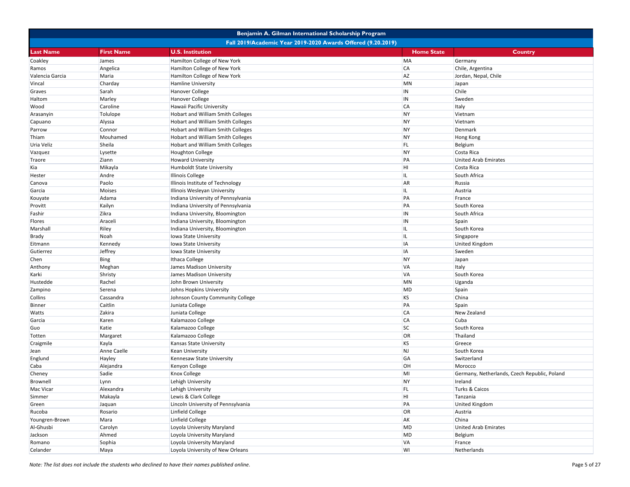|                 |                                                              | Benjamin A. Gilman International Scholarship Program |                   |                                              |  |  |
|-----------------|--------------------------------------------------------------|------------------------------------------------------|-------------------|----------------------------------------------|--|--|
|                 | Fall 2019/Academic Year 2019-2020 Awards Offered (9.20.2019) |                                                      |                   |                                              |  |  |
| Last Name       | <b>First Name</b>                                            | <b>U.S. Institution</b>                              | <b>Home State</b> | <b>Country</b>                               |  |  |
| Coakley         | James                                                        | Hamilton College of New York                         | <b>MA</b>         | Germany                                      |  |  |
| Ramos           | Angelica                                                     | Hamilton College of New York                         | <b>CA</b>         | Chile, Argentina                             |  |  |
| Valencia Garcia | Maria                                                        | Hamilton College of New York                         | <b>AZ</b>         | Jordan, Nepal, Chile                         |  |  |
| Vincal          | Charday                                                      | Hamline University                                   | <b>MN</b>         | Japan                                        |  |  |
| Graves          | Sarah                                                        | <b>Hanover College</b>                               | IN                | Chile                                        |  |  |
| Haltom          | Marley                                                       | Hanover College                                      | IN                | Sweden                                       |  |  |
| Wood            | Caroline                                                     | Hawaii Pacific University                            | <b>CA</b>         | Italy                                        |  |  |
| Arasanyin       | Tolulope                                                     | Hobart and William Smith Colleges                    | <b>NY</b>         | Vietnam                                      |  |  |
| Capuano         | Alyssa                                                       | Hobart and William Smith Colleges                    | <b>NY</b>         | Vietnam                                      |  |  |
| Parrow          | Connor                                                       | Hobart and William Smith Colleges                    | NY                | Denmark                                      |  |  |
| Thiam           | Mouhamed                                                     | Hobart and William Smith Colleges                    | <b>NY</b>         | Hong Kong                                    |  |  |
| Uria Veliz      | Sheila                                                       | Hobart and William Smith Colleges                    | FL.               | Belgium                                      |  |  |
| Vazquez         | Lysette                                                      | <b>Houghton College</b>                              | <b>NY</b>         | Costa Rica                                   |  |  |
| Traore          | Ziann                                                        | <b>Howard University</b>                             | PA                | <b>United Arab Emirates</b>                  |  |  |
| Kia             | Mikayla                                                      | Humboldt State University                            | HI                | Costa Rica                                   |  |  |
| Hester          | Andre                                                        | <b>Illinois College</b>                              | IL.               | South Africa                                 |  |  |
| Canova          | Paolo                                                        | Illinois Institute of Technology                     | <b>AR</b>         | Russia                                       |  |  |
| Garcia          | <b>Moises</b>                                                | Illinois Wesleyan University                         | IL.               | Austria                                      |  |  |
| Kouyate         | Adama                                                        | Indiana University of Pennsylvania                   | PA                | France                                       |  |  |
| Provitt         | Kailyn                                                       | Indiana University of Pennsylvania                   | PA                | South Korea                                  |  |  |
| Fashir          | Zikra                                                        | Indiana University, Bloomington                      | IN                | South Africa                                 |  |  |
| Flores          | Araceli                                                      | Indiana University, Bloomington                      | IN                | Spain                                        |  |  |
| Marshall        | Riley                                                        | Indiana University, Bloomington                      | IL                | South Korea                                  |  |  |
| Brady           | Noah                                                         | Iowa State University                                | IL                | Singapore                                    |  |  |
| Eitmann         | Kennedy                                                      | Iowa State University                                | IA                | <b>United Kingdom</b>                        |  |  |
| Gutierrez       | Jeffrey                                                      | Iowa State University                                | IA                | Sweden                                       |  |  |
| Chen            | Bing                                                         | Ithaca College                                       | <b>NY</b>         | Japan                                        |  |  |
| Anthony         | Meghan                                                       | James Madison University                             | <b>VA</b>         | Italy                                        |  |  |
| Karki           | Shristy                                                      | James Madison University                             | <b>VA</b>         | South Korea                                  |  |  |
| Hustedde        | Rachel                                                       | John Brown University                                | MN                | Uganda                                       |  |  |
| Zampino         | Serena                                                       | Johns Hopkins University                             | <b>MD</b>         | Spain                                        |  |  |
| Collins         | Cassandra                                                    | Johnson County Community College                     | KS                | China                                        |  |  |
| Binner          | Caitlin                                                      | Juniata College                                      | PA                | Spain                                        |  |  |
| Watts           | Zakira                                                       | Juniata College                                      | <b>CA</b>         | New Zealand                                  |  |  |
| Garcia          | Karen                                                        | Kalamazoo College                                    | <b>CA</b>         | Cuba                                         |  |  |
| Guo             | Katie                                                        | Kalamazoo College                                    | <b>SC</b>         | South Korea                                  |  |  |
| Totten          | Margaret                                                     | Kalamazoo College                                    | OR                | Thailand                                     |  |  |
| Craigmile       | Kayla                                                        | Kansas State University                              | KS                | Greece                                       |  |  |
| Jean            | Anne Caelle                                                  | Kean University                                      | <b>NJ</b>         | South Korea                                  |  |  |
| Englund         | Hayley                                                       | Kennesaw State University                            | GA                | Switzerland                                  |  |  |
| Caba            | Alejandra                                                    | Kenyon College                                       | OH                | Morocco                                      |  |  |
| Cheney          | Sadie                                                        | Knox College                                         | MI                | Germany, Netherlands, Czech Republic, Poland |  |  |
| Brownell        | Lynn                                                         | Lehigh University                                    | <b>NY</b>         | Ireland                                      |  |  |
| Mac Vicar       | Alexandra                                                    | Lehigh University                                    | FL.               | Turks & Caicos                               |  |  |
| Simmer          | Makayla                                                      | Lewis & Clark College                                | HI                | Tanzania                                     |  |  |
| Green           | Jaquan                                                       | Lincoln University of Pennsylvania                   | PA                | <b>United Kingdom</b>                        |  |  |
| Rucoba          | Rosario                                                      | Linfield College                                     | OR                | Austria                                      |  |  |
| Youngren-Brown  | Mara                                                         | Linfield College                                     | AK                | China                                        |  |  |
| Al-Ghusbi       | Carolyn                                                      | Loyola University Maryland                           | MD                | <b>United Arab Emirates</b>                  |  |  |
| Jackson         | Ahmed                                                        | Loyola University Maryland                           | MD                | Belgium                                      |  |  |
| Romano          | Sophia                                                       | Loyola University Maryland                           | VA                | France                                       |  |  |
| Celander        | Maya                                                         | Loyola University of New Orleans                     | WI                | Netherlands                                  |  |  |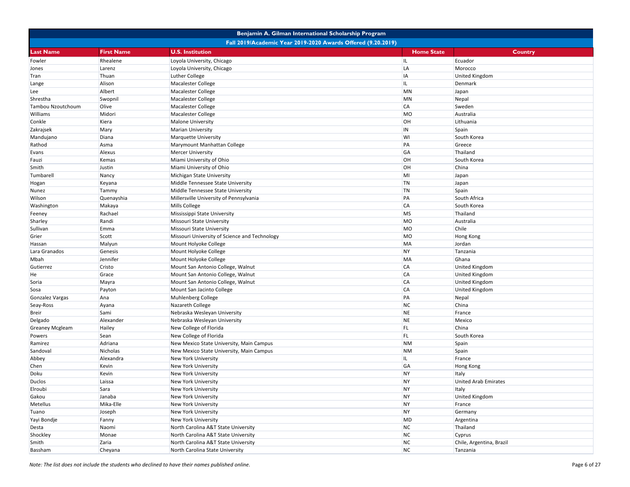|                        |                                                              | Benjamin A. Gilman International Scholarship Program |                   |                             |  |  |
|------------------------|--------------------------------------------------------------|------------------------------------------------------|-------------------|-----------------------------|--|--|
|                        | Fall 2019/Academic Year 2019-2020 Awards Offered (9.20.2019) |                                                      |                   |                             |  |  |
| <b>Last Name</b>       | <b>First Name</b>                                            | <b>U.S. Institution</b>                              | <b>Home State</b> | <b>Country</b>              |  |  |
| Fowler                 | Rhealene                                                     | Loyola University, Chicago                           | IL                | Ecuador                     |  |  |
| Jones                  | Larenz                                                       | Loyola University, Chicago                           | LA                | Morocco                     |  |  |
| Tran                   | Thuan                                                        | Luther College                                       | IA                | <b>United Kingdom</b>       |  |  |
| Lange                  | Alison                                                       | Macalester College                                   | IL.               | Denmark                     |  |  |
| Lee                    | Albert                                                       | Macalester College                                   | <b>MN</b>         | Japan                       |  |  |
| Shrestha               | Swopnil                                                      | Macalester College                                   | <b>MN</b>         | Nepal                       |  |  |
| Tambou Nzoutchoum      | Olive                                                        | Macalester College                                   | <b>CA</b>         | Sweden                      |  |  |
| Williams               | Midori                                                       | Macalester College                                   | <b>MO</b>         | Australia                   |  |  |
| Conkle                 | Kiera                                                        | Malone University                                    | OH                | Lithuania                   |  |  |
| Zakrajsek              | Mary                                                         | <b>Marian University</b>                             | IN                | Spain                       |  |  |
| Mandujano              | Diana                                                        | Marquette University                                 | WI                | South Korea                 |  |  |
| Rathod                 | Asma                                                         | Marymount Manhattan College                          | PA                | Greece                      |  |  |
| Evans                  | Alexus                                                       | <b>Mercer University</b>                             | GA                | Thailand                    |  |  |
| Fauzi                  | Kemas                                                        | Miami University of Ohio                             | OH                | South Korea                 |  |  |
| Smith                  | Justin                                                       | Miami University of Ohio                             | OH                | China                       |  |  |
| Tumbarell              | Nancy                                                        | Michigan State University                            | MI                | Japan                       |  |  |
| Hogan                  | Keyana                                                       | Middle Tennessee State University                    | <b>TN</b>         | Japan                       |  |  |
| Nunez                  | Tammy                                                        | Middle Tennessee State University                    | <b>TN</b>         | Spain                       |  |  |
| Wilson                 | Quenayshia                                                   | Millersville University of Pennsylvania              | PA                | South Africa                |  |  |
| Washington             | Makaya                                                       | Mills College                                        | <b>CA</b>         | South Korea                 |  |  |
| Feeney                 | Rachael                                                      | Mississippi State University                         | <b>MS</b>         | Thailand                    |  |  |
| Sharley                | Randi                                                        | Missouri State University                            | <b>MO</b>         | Australia                   |  |  |
| Sullivan               | Emma                                                         | Missouri State University                            | <b>MO</b>         | Chile                       |  |  |
| Grier                  | Scott                                                        | Missouri University of Science and Technology        | <b>MO</b>         | Hong Kong                   |  |  |
| Hassan                 | Malyun                                                       | Mount Holyoke College                                | <b>MA</b>         | Jordan                      |  |  |
| Lara Granados          | Genesis                                                      | Mount Holyoke College                                | <b>NY</b>         | Tanzania                    |  |  |
| Mbah                   | Jennifer                                                     | Mount Holyoke College                                | <b>MA</b>         | Ghana                       |  |  |
| Gutierrez              | Cristo                                                       | Mount San Antonio College, Walnut                    | <b>CA</b>         | United Kingdom              |  |  |
| He                     | Grace                                                        | Mount San Antonio College, Walnut                    | <b>CA</b>         | <b>United Kingdom</b>       |  |  |
| Soria                  | Mayra                                                        | Mount San Antonio College, Walnut                    | <b>CA</b>         | <b>United Kingdom</b>       |  |  |
| Sosa                   | Payton                                                       | Mount San Jacinto College                            | CA                | <b>United Kingdom</b>       |  |  |
| Gonzalez Vargas        | Ana                                                          | Muhlenberg College                                   | PA                | Nepal                       |  |  |
| Seay-Ross              | Ayana                                                        | Nazareth College                                     | <b>NC</b>         | China                       |  |  |
| <b>Breir</b>           | Sami                                                         | Nebraska Wesleyan University                         | <b>NE</b>         | France                      |  |  |
| Delgado                | Alexander                                                    | Nebraska Wesleyan University                         | <b>NE</b>         | Mexico                      |  |  |
| <b>Greaney Mcgleam</b> | Hailey                                                       | New College of Florida                               | FL.               | China                       |  |  |
| Powers                 | Sean                                                         | New College of Florida                               | FL.               | South Korea                 |  |  |
| Ramirez                | Adriana                                                      | New Mexico State University, Main Campus             | <b>NM</b>         | Spain                       |  |  |
| Sandoval               | Nicholas                                                     | New Mexico State University, Main Campus             | <b>NM</b>         | Spain                       |  |  |
| Abbey                  | Alexandra                                                    | New York University                                  | IL.               | France                      |  |  |
| Chen                   | Kevin                                                        | <b>New York University</b>                           | GA                | <b>Hong Kong</b>            |  |  |
| Doku                   | Kevin                                                        | New York University                                  | <b>NY</b>         | Italy                       |  |  |
| Duclos                 | Laissa                                                       | <b>New York University</b>                           | <b>NY</b>         | <b>United Arab Emirates</b> |  |  |
| Elroubi                | Sara                                                         | New York University                                  | <b>NY</b>         | Italy                       |  |  |
| Gakou                  | Janaba                                                       | New York University                                  | <b>NY</b>         | <b>United Kingdom</b>       |  |  |
| Metellus               | Mika-Elle                                                    | New York University                                  | <b>NY</b>         | France                      |  |  |
| Tuano                  | Joseph                                                       | New York University                                  | <b>NY</b>         | Germany                     |  |  |
| Yayi Bondje            | Fanny                                                        | New York University                                  | MD                | Argentina                   |  |  |
| Desta                  | Naomi                                                        | North Carolina A&T State University                  | <b>NC</b>         | Thailand                    |  |  |
| Shockley               | Monae                                                        | North Carolina A&T State University                  | <b>NC</b>         | Cyprus                      |  |  |
| Smith                  | Zaria                                                        | North Carolina A&T State University                  | <b>NC</b>         | Chile, Argentina, Brazil    |  |  |
| Bassham                | Cheyana                                                      | North Carolina State University                      | <b>NC</b>         | Tanzania                    |  |  |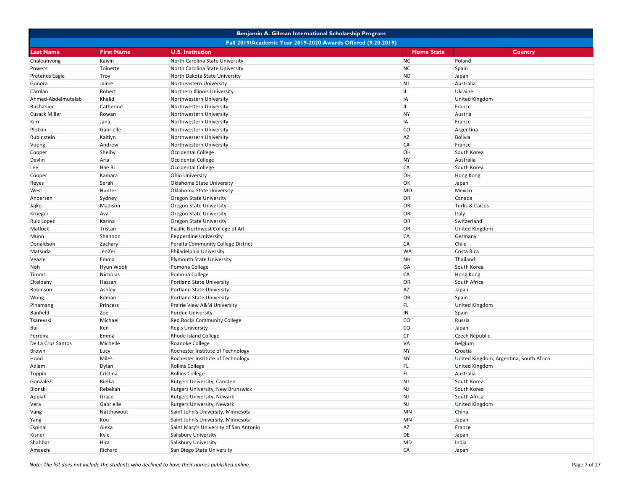|                      |                                                              |                                        | Benjamin A. Gilman International Scholarship Program |                                         |  |  |
|----------------------|--------------------------------------------------------------|----------------------------------------|------------------------------------------------------|-----------------------------------------|--|--|
|                      | Fall 2019/Academic Year 2019-2020 Awards Offered (9.20.2019) |                                        |                                                      |                                         |  |  |
| <b>Last Name</b>     | <b>First Name</b>                                            | <b>U.S. Institution</b>                | <b>Home State</b>                                    | <b>Country</b>                          |  |  |
| Chaleunvong          | Kaiyin                                                       | North Carolina State University        | <b>NC</b>                                            | Poland                                  |  |  |
| Powers               | Toinette                                                     | North Carolina State University        | <b>NC</b>                                            | Spain                                   |  |  |
| Pretends Eagle       | Troy                                                         | North Dakota State University          | <b>ND</b>                                            | Japan                                   |  |  |
| Gonora               | Jaime                                                        | Northeastern University                | <b>NJ</b>                                            | Australia                               |  |  |
| Carolan              | Robert                                                       | Northern Illinois University           | IL                                                   | Ukraine                                 |  |  |
| Ahmed-Abdelmutalab   | Khalid                                                       | Northwestern University                | IA                                                   | <b>United Kingdom</b>                   |  |  |
| <b>Buchaniec</b>     | Catherine                                                    | Northwestern University                | IL                                                   | France                                  |  |  |
| <b>Cusack Miller</b> | Rowan                                                        | Northwestern University                | <b>NY</b>                                            | Austria                                 |  |  |
| Kim                  | Jana                                                         | Northwestern University                | IA                                                   | France                                  |  |  |
| Plotkin              | Gabrielle                                                    | Northwestern University                | <b>CO</b>                                            | Argentina                               |  |  |
| Rubinstein           | Kaitlyn                                                      | Northwestern University                | <b>AZ</b>                                            | <b>Bolivia</b>                          |  |  |
| Vuong                | Andrew                                                       | Northwestern University                | <b>CA</b>                                            | France                                  |  |  |
| Cooper               | Shelby                                                       | Occidental College                     | OH                                                   | South Korea                             |  |  |
| Devlin               | Aria                                                         | Occidental College                     | <b>NY</b>                                            | Australia                               |  |  |
| Lee                  | Hae Ri                                                       | Occidental College                     | <b>CA</b>                                            | South Korea                             |  |  |
| Cooper               | Kamara                                                       | Ohio University                        | OH                                                   | <b>Hong Kong</b>                        |  |  |
| Reyes                | Serah                                                        | Oklahoma State University              | OK                                                   | Japan                                   |  |  |
| West                 | Hunter                                                       | Oklahoma State University              | <b>MO</b>                                            | Mexico                                  |  |  |
| Andersen             | Sydney                                                       | <b>Oregon State University</b>         | OR                                                   | Canada                                  |  |  |
| Jajko                | Madison                                                      | <b>Oregon State University</b>         | OR                                                   | <b>Turks &amp; Caicos</b>               |  |  |
| Krueger              | Ava                                                          | <b>Oregon State University</b>         | OR                                                   | Italy                                   |  |  |
| Ruiz Lopez           | Karina                                                       | <b>Oregon State University</b>         | OR                                                   | Switzerland                             |  |  |
| Matlock              | Tristan                                                      | Pacific Northwest College of Art       | OR                                                   | <b>United Kingdom</b>                   |  |  |
| Munn                 | Shannon                                                      | Pepperdine University                  | <b>CA</b>                                            | Germany                                 |  |  |
| Donaldson            | Zachary                                                      | Peralta Community College District     | <b>CA</b>                                            | Chile                                   |  |  |
| Matsuda              | Jenifer                                                      | Philadelphia University                | <b>WA</b>                                            | Costa Rica                              |  |  |
| Veazie               | Emma                                                         | Plymouth State University              | <b>NH</b>                                            | Thailand                                |  |  |
| Noh                  | Hyun Wook                                                    | Pomona College                         | GA                                                   | South Korea                             |  |  |
| Timms                | Nicholas                                                     | Pomona College                         | <b>CA</b>                                            | <b>Hong Kong</b>                        |  |  |
| Eltelbany            | Hassan                                                       | Portland State University              | OR                                                   | South Africa                            |  |  |
| Robinson             | Ashley                                                       | <b>Portland State University</b>       | <b>AZ</b>                                            | Japan                                   |  |  |
| Wong                 | Edman                                                        | <b>Portland State University</b>       | OR                                                   | Spain                                   |  |  |
| Pinamang             | Princess                                                     | Prairie View A&M University            | FL.                                                  | <b>United Kingdom</b>                   |  |  |
| Banfield             | Zoe                                                          | <b>Purdue University</b>               | IN                                                   | Spain                                   |  |  |
| Tsarevski            | Michael                                                      | Red Rocks Community College            | <b>CO</b>                                            | Russia                                  |  |  |
| Bui                  | Ken                                                          | <b>Regis University</b>                | <b>CO</b>                                            | Japan                                   |  |  |
| Ferreira             | Emma                                                         | Rhode Island College                   | <b>CT</b>                                            | Czech Republic                          |  |  |
| De La Cruz Santos    | Michelle                                                     | Roanoke College                        | <b>VA</b>                                            | Belgium                                 |  |  |
| Brown                | Lucy                                                         | Rochester Institute of Technology      | <b>NY</b>                                            | Croatia                                 |  |  |
| Hood                 | Miles                                                        | Rochester Institute of Technology      | <b>NY</b>                                            | United Kingdom, Argentina, South Africa |  |  |
| Adlam                | Dylan                                                        | <b>Rollins College</b>                 | FL.                                                  | <b>United Kingdom</b>                   |  |  |
| Toppin               | Cristina                                                     | <b>Rollins College</b>                 | <b>FL</b>                                            | Australia                               |  |  |
| Gonzalez             | Bielka                                                       | Rutgers University, Camden             | <b>NJ</b>                                            | South Korea                             |  |  |
| Blonski              | Rebekah                                                      | Rutgers University, New Brunswick      | NJ                                                   | South Korea                             |  |  |
| Appiah               | Grace                                                        | Rutgers University, Newark             | <b>NJ</b>                                            | South Africa                            |  |  |
| Vera                 | Gabrielle                                                    | Rutgers University, Newark             | <b>NJ</b>                                            | <b>United Kingdom</b>                   |  |  |
| Vang                 | Natthawout                                                   | Saint John's University, Minnesota     | <b>MN</b>                                            | China                                   |  |  |
| Yang                 | Kou                                                          | Saint John's University, Minnesota     | <b>MN</b>                                            | Japan                                   |  |  |
| Espinal              | Alexa                                                        | Saint Mary's University of San Antonio | <b>AZ</b>                                            | France                                  |  |  |
| Kisner               | Kyle                                                         | Salisbury University                   | DE                                                   | Japan                                   |  |  |
| Shahbaz              | Hira                                                         | Salisbury University                   | <b>MD</b>                                            | India                                   |  |  |
| Amaechi              | Richard                                                      | San Diego State University             | <b>CA</b>                                            | Japan                                   |  |  |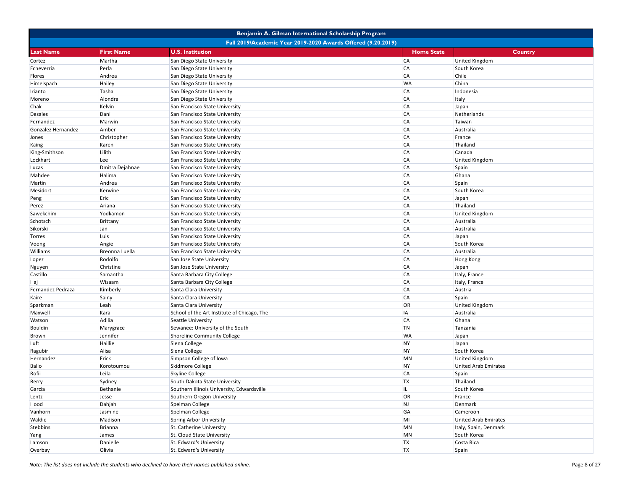|                    |                                                              | Benjamin A. Gilman International Scholarship Program |                   |                             |  |  |
|--------------------|--------------------------------------------------------------|------------------------------------------------------|-------------------|-----------------------------|--|--|
|                    | Fall 2019/Academic Year 2019-2020 Awards Offered (9.20.2019) |                                                      |                   |                             |  |  |
| <b>Last Name</b>   | <b>First Name</b>                                            | <b>U.S. Institution</b>                              | <b>Home State</b> | Country                     |  |  |
| Cortez             | Martha                                                       | San Diego State University                           | <b>CA</b>         | <b>United Kingdom</b>       |  |  |
| Echeverria         | Perla                                                        | San Diego State University                           | <b>CA</b>         | South Korea                 |  |  |
| Flores             | Andrea                                                       | San Diego State University                           | <b>CA</b>         | Chile                       |  |  |
| Himelspach         | Hailey                                                       | San Diego State University                           | <b>WA</b>         | China                       |  |  |
| Irianto            | Tasha                                                        | San Diego State University                           | <b>CA</b>         | Indonesia                   |  |  |
| Moreno             | Alondra                                                      | San Diego State University                           | <b>CA</b>         | Italy                       |  |  |
| Chak               | Kelvin                                                       | San Francisco State University                       | <b>CA</b>         | Japan                       |  |  |
| Desales            | Dani                                                         | San Francisco State University                       | <b>CA</b>         | Netherlands                 |  |  |
| Fernandez          | Marwin                                                       | San Francisco State University                       | <b>CA</b>         | Taiwan                      |  |  |
| Gonzalez Hernandez | Amber                                                        | San Francisco State University                       | <b>CA</b>         | Australia                   |  |  |
| Jones              | Christopher                                                  | San Francisco State University                       | <b>CA</b>         | France                      |  |  |
| Kaing              | Karen                                                        | San Francisco State University                       | <b>CA</b>         | Thailand                    |  |  |
| King-Smithson      | Lilith                                                       | San Francisco State University                       | <b>CA</b>         | Canada                      |  |  |
| Lockhart           | Lee                                                          | San Francisco State University                       | <b>CA</b>         | <b>United Kingdom</b>       |  |  |
| Lucas              | Dmitra Dejahnae                                              | San Francisco State University                       | <b>CA</b>         | Spain                       |  |  |
| Mahdee             | Halima                                                       | San Francisco State University                       | <b>CA</b>         | Ghana                       |  |  |
| Martin             | Andrea                                                       | San Francisco State University                       | <b>CA</b>         | Spain                       |  |  |
| Mesidort           | Kerwine                                                      | San Francisco State University                       | <b>CA</b>         | South Korea                 |  |  |
| Peng               | Eric                                                         | San Francisco State University                       | <b>CA</b>         | Japan                       |  |  |
| Perez              | Ariana                                                       | San Francisco State University                       | <b>CA</b>         | Thailand                    |  |  |
| Sawekchim          | Yodkamon                                                     | San Francisco State University                       | <b>CA</b>         | <b>United Kingdom</b>       |  |  |
| Schotsch           | Brittany                                                     | San Francisco State University                       | <b>CA</b>         | Australia                   |  |  |
| Sikorski           | Jan                                                          | San Francisco State University                       | <b>CA</b>         | Australia                   |  |  |
| Torres             | Luis                                                         | San Francisco State University                       | <b>CA</b>         | Japan                       |  |  |
| Voong              | Angie                                                        | San Francisco State University                       | <b>CA</b>         | South Korea                 |  |  |
| Williams           | Breonna Luella                                               | San Francisco State University                       | <b>CA</b>         | Australia                   |  |  |
| Lopez              | Rodolfo                                                      | San Jose State University                            | <b>CA</b>         | <b>Hong Kong</b>            |  |  |
| Nguyen             | Christine                                                    | San Jose State University                            | <b>CA</b>         | Japan                       |  |  |
| Castillo           | Samantha                                                     | Santa Barbara City College                           | <b>CA</b>         | Italy, France               |  |  |
| Haj                | Wisaam                                                       | Santa Barbara City College                           | <b>CA</b>         | Italy, France               |  |  |
| Fernandez Pedraza  | Kimberly                                                     | Santa Clara University                               | <b>CA</b>         | Austria                     |  |  |
| Kaire              | Sainy                                                        | Santa Clara University                               | <b>CA</b>         | Spain                       |  |  |
| Sparkman           | Leah                                                         | Santa Clara University                               | OR                | United Kingdom              |  |  |
| Maxwell            | Kara                                                         | School of the Art Institute of Chicago, The          | IA                | Australia                   |  |  |
| Watson             | Adilia                                                       | Seattle University                                   | <b>CA</b>         | Ghana                       |  |  |
| <b>Bouldin</b>     | Marygrace                                                    | Sewanee: University of the South                     | <b>TN</b>         | Tanzania                    |  |  |
| Brown              | Jennifer                                                     | <b>Shoreline Community College</b>                   | <b>WA</b>         | Japan                       |  |  |
| Luft               | Haillie                                                      | Siena College                                        | <b>NY</b>         | Japan                       |  |  |
| Ragubir            | Alisa                                                        | Siena College                                        | <b>NY</b>         | South Korea                 |  |  |
| Hernandez          | Erick                                                        | Simpson College of Iowa                              | <b>MN</b>         | <b>United Kingdom</b>       |  |  |
| Ballo              | Korotoumou                                                   | Skidmore College                                     | <b>NY</b>         | <b>United Arab Emirates</b> |  |  |
| Rofii              | Leila                                                        | Skyline College                                      | <b>CA</b>         | Spain                       |  |  |
| Berry              | Sydney                                                       | South Dakota State University                        | <b>TX</b>         | Thailand                    |  |  |
| Garcia             | Bethanie                                                     | Southern Illinois University, Edwardsville           | IL.               | South Korea                 |  |  |
| Lentz              | Jesse                                                        | Southern Oregon University                           | OR                | France                      |  |  |
| Hood               | Dahjah                                                       | Spelman College                                      | NJ                | Denmark                     |  |  |
| Vanhorn            | Jasmine                                                      | Spelman College                                      | GA                | Cameroon                    |  |  |
| Waldie             | Madison                                                      | Spring Arbor University                              | MI                | <b>United Arab Emirates</b> |  |  |
| <b>Stebbins</b>    | Brianna                                                      | St. Catherine University                             | MN                | Italy, Spain, Denmark       |  |  |
| Yang               | James                                                        | St. Cloud State University                           | MN                | South Korea                 |  |  |
| Lamson             | Danielle                                                     | St. Edward's University                              | <b>TX</b>         | Costa Rica                  |  |  |
| Overbay            | Olivia                                                       | St. Edward's University                              | <b>TX</b>         | Spain                       |  |  |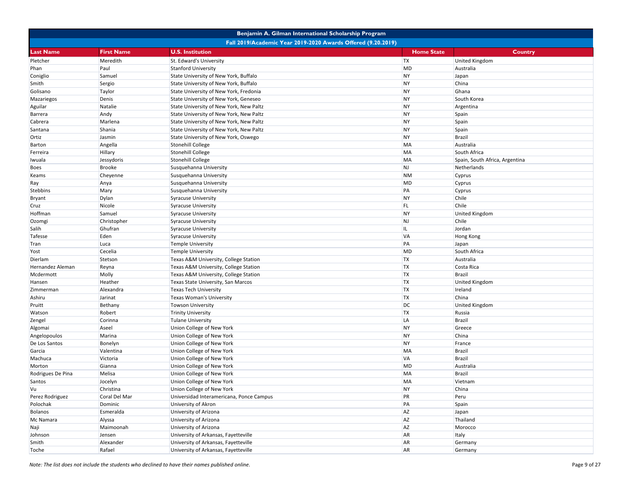|                                                              |                   | Benjamin A. Gilman International Scholarship Program |                   |                                |  |
|--------------------------------------------------------------|-------------------|------------------------------------------------------|-------------------|--------------------------------|--|
| Fall 2019/Academic Year 2019-2020 Awards Offered (9.20.2019) |                   |                                                      |                   |                                |  |
| <b>Last Name</b>                                             | <b>First Name</b> | <b>U.S. Institution</b>                              | <b>Home State</b> | Country                        |  |
| Pletcher                                                     | Meredith          | St. Edward's University                              | <b>TX</b>         | <b>United Kingdom</b>          |  |
| Phan                                                         | Paul              | <b>Stanford University</b>                           | MD                | Australia                      |  |
| Coniglio                                                     | Samuel            | State University of New York, Buffalo                | <b>NY</b>         | Japan                          |  |
| Smith                                                        | Sergio            | State University of New York, Buffalo                | <b>NY</b>         | China                          |  |
| Golisano                                                     | Taylor            | State University of New York, Fredonia               | <b>NY</b>         | Ghana                          |  |
| Mazariegos                                                   | Denis             | State University of New York, Geneseo                | <b>NY</b>         | South Korea                    |  |
| Aguilar                                                      | Natalie           | State University of New York, New Paltz              | <b>NY</b>         | Argentina                      |  |
| Barrera                                                      | Andy              | State University of New York, New Paltz              | <b>NY</b>         | Spain                          |  |
| Cabrera                                                      | Marlena           | State University of New York, New Paltz              | <b>NY</b>         | Spain                          |  |
| Santana                                                      | Shania            | State University of New York, New Paltz              | <b>NY</b>         | Spain                          |  |
| Ortiz                                                        | Jasmin            | State University of New York, Oswego                 | <b>NY</b>         | <b>Brazil</b>                  |  |
| <b>Barton</b>                                                | Angella           | Stonehill College                                    | MA                | Australia                      |  |
| Ferreira                                                     | Hillary           | <b>Stonehill College</b>                             | MA                | South Africa                   |  |
| Iwuala                                                       | Jessydoris        | <b>Stonehill College</b>                             | MA                | Spain, South Africa, Argentina |  |
| Boes                                                         | <b>Brooke</b>     | Susquehanna University                               | <b>NJ</b>         | Netherlands                    |  |
| Keams                                                        | Cheyenne          | Susquehanna University                               | <b>NM</b>         | Cyprus                         |  |
| Ray                                                          | Anya              | Susquehanna University                               | MD                | Cyprus                         |  |
| <b>Stebbins</b>                                              | Mary              | Susquehanna University                               | PA                | Cyprus                         |  |
| <b>Bryant</b>                                                | Dylan             | <b>Syracuse University</b>                           | <b>NY</b>         | Chile                          |  |
| Cruz                                                         | Nicole            | <b>Syracuse University</b>                           | FL.               | Chile                          |  |
| Hoffman                                                      | Samuel            | <b>Syracuse University</b>                           | <b>NY</b>         | <b>United Kingdom</b>          |  |
| Ozomgi                                                       | Christopher       | <b>Syracuse University</b>                           | NJ                | Chile                          |  |
| Salih                                                        | Ghufran           | <b>Syracuse University</b>                           | IL.               | Jordan                         |  |
| <b>Tafesse</b>                                               | Eden              | <b>Syracuse University</b>                           | <b>VA</b>         | <b>Hong Kong</b>               |  |
| Tran                                                         | Luca              | <b>Temple University</b>                             | PA                | Japan                          |  |
| Yost                                                         | Cecelia           | <b>Temple University</b>                             | MD                | South Africa                   |  |
| Dierlam                                                      | Stetson           |                                                      | <b>TX</b>         | Australia                      |  |
|                                                              |                   | Texas A&M University, College Station                | <b>TX</b>         |                                |  |
| Hernandez Aleman<br>Mcdermott                                | Reyna             | Texas A&M University, College Station                | <b>TX</b>         | Costa Rica<br><b>Brazil</b>    |  |
|                                                              | Molly             | Texas A&M University, College Station                | <b>TX</b>         |                                |  |
| Hansen                                                       | Heather           | Texas State University, San Marcos                   | <b>TX</b>         | <b>United Kingdom</b>          |  |
| Zimmerman                                                    | Alexandra         | <b>Texas Tech University</b>                         |                   | Ireland<br>China               |  |
| Ashiru                                                       | Jarinat           | Texas Woman's University                             | <b>TX</b>         |                                |  |
| Pruitt                                                       | Bethany           | <b>Towson University</b>                             | DC<br><b>TX</b>   | <b>United Kingdom</b>          |  |
| Watson                                                       | Robert            | <b>Trinity University</b>                            |                   | Russia                         |  |
| Zengel                                                       | Corinna           | <b>Tulane University</b>                             | LA                | <b>Brazil</b>                  |  |
| Algomai                                                      | Aseel             | Union College of New York                            | <b>NY</b>         | Greece                         |  |
| Angelopoulos                                                 | Marina            | Union College of New York                            | <b>NY</b>         | China                          |  |
| De Los Santos                                                | Bonelyn           | Union College of New York                            | <b>NY</b>         | France                         |  |
| Garcia                                                       | Valentina         | Union College of New York                            | MA                | <b>Brazil</b>                  |  |
| Machuca                                                      | Victoria          | Union College of New York                            | <b>VA</b>         | <b>Brazil</b>                  |  |
| Morton                                                       | Gianna            | Union College of New York                            | MD                | Australia                      |  |
| Rodrigues De Pina                                            | Melisa            | Union College of New York                            | MA                | <b>Brazil</b>                  |  |
| Santos                                                       | Jocelyn           | Union College of New York                            | <b>MA</b>         | Vietnam                        |  |
| Vu                                                           | Christina         | Union College of New York                            | <b>NY</b>         | China                          |  |
| Perez Rodriguez                                              | Coral Del Mar     | Universidad Interamericana, Ponce Campus             | PR                | Peru                           |  |
| Polochak                                                     | Dominic           | University of Akron                                  | PA                | Spain                          |  |
| Bolanos                                                      | Esmeralda         | University of Arizona                                | AZ                | Japan                          |  |
| Mc Namara                                                    | Alyssa            | University of Arizona                                | <b>AZ</b>         | Thailand                       |  |
| Naji                                                         | Maimoonah         | University of Arizona                                | <b>AZ</b>         | Morocco                        |  |
| Johnson                                                      | Jensen            | University of Arkansas, Fayetteville                 | <b>AR</b>         | Italy                          |  |
| Smith                                                        | Alexander         | University of Arkansas, Fayetteville                 | <b>AR</b>         | Germany                        |  |
| Toche                                                        | Rafael            | University of Arkansas, Fayetteville                 | <b>AR</b>         | Germany                        |  |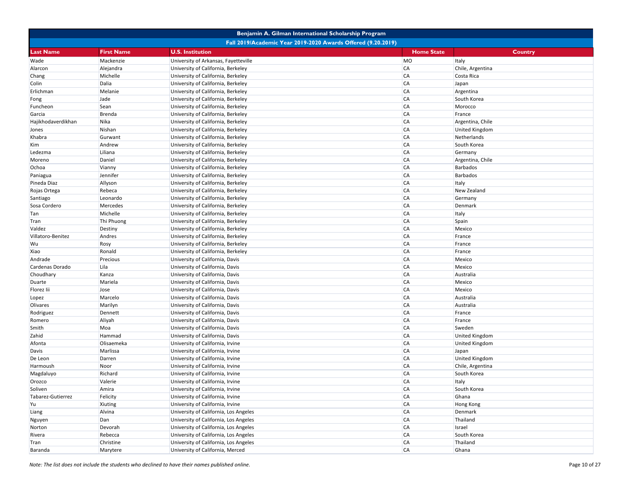|                    |                                                              | Benjamin A. Gilman International Scholarship Program |                   |                       |  |  |
|--------------------|--------------------------------------------------------------|------------------------------------------------------|-------------------|-----------------------|--|--|
|                    | Fall 2019/Academic Year 2019-2020 Awards Offered (9.20.2019) |                                                      |                   |                       |  |  |
| Last Name          | <b>First Name</b>                                            | <b>U.S. Institution</b>                              | <b>Home State</b> | <b>Country</b>        |  |  |
| Wade               | Mackenzie                                                    | University of Arkansas, Fayetteville                 | MO                | Italy                 |  |  |
| Alarcon            | Alejandra                                                    | University of California, Berkeley                   | <b>CA</b>         | Chile, Argentina      |  |  |
| Chang              | Michelle                                                     | University of California, Berkeley                   | <b>CA</b>         | Costa Rica            |  |  |
| Colin              | Dalia                                                        | University of California, Berkeley                   | <b>CA</b>         | Japan                 |  |  |
| Erlichman          | Melanie                                                      | University of California, Berkeley                   | <b>CA</b>         | Argentina             |  |  |
| Fong               | Jade                                                         | University of California, Berkeley                   | <b>CA</b>         | South Korea           |  |  |
| Funcheon           | Sean                                                         | University of California, Berkeley                   | <b>CA</b>         | Morocco               |  |  |
| Garcia             | Brenda                                                       | University of California, Berkeley                   | <b>CA</b>         | France                |  |  |
| Hajikhodaverdikhan | Nika                                                         | University of California, Berkeley                   | <b>CA</b>         | Argentina, Chile      |  |  |
| Jones              | Nishan                                                       | University of California, Berkeley                   | <b>CA</b>         | <b>United Kingdom</b> |  |  |
| Khabra             | Gurwant                                                      | University of California, Berkeley                   | <b>CA</b>         | Netherlands           |  |  |
| Kim                | Andrew                                                       | University of California, Berkeley                   | <b>CA</b>         | South Korea           |  |  |
| Ledezma            | Liliana                                                      | University of California, Berkeley                   | <b>CA</b>         | Germany               |  |  |
| Moreno             | Daniel                                                       | University of California, Berkeley                   | <b>CA</b>         | Argentina, Chile      |  |  |
| Ochoa              | Vianny                                                       | University of California, Berkeley                   | <b>CA</b>         | <b>Barbados</b>       |  |  |
| Paniagua           | Jennifer                                                     | University of California, Berkeley                   | <b>CA</b>         | <b>Barbados</b>       |  |  |
| Pineda Diaz        | Allyson                                                      | University of California, Berkeley                   | <b>CA</b>         | Italy                 |  |  |
| Rojas Ortega       | Rebeca                                                       | University of California, Berkeley                   | <b>CA</b>         | New Zealand           |  |  |
| Santiago           | Leonardo                                                     | University of California, Berkeley                   | <b>CA</b>         | Germany               |  |  |
| Sosa Cordero       | Mercedes                                                     | University of California, Berkeley                   | <b>CA</b>         | Denmark               |  |  |
| Tan                | Michelle                                                     | University of California, Berkeley                   | <b>CA</b>         | Italy                 |  |  |
| Tran               | Thi Phuong                                                   | University of California, Berkeley                   | <b>CA</b>         | Spain                 |  |  |
| Valdez             | Destiny                                                      | University of California, Berkeley                   | <b>CA</b>         | Mexico                |  |  |
| Villatoro-Benitez  | Andres                                                       | University of California, Berkeley                   | <b>CA</b>         | France                |  |  |
| Wu                 | Rosy                                                         | University of California, Berkeley                   | <b>CA</b>         | France                |  |  |
| Xiao               | Ronald                                                       | University of California, Berkeley                   | <b>CA</b>         | France                |  |  |
| Andrade            | Precious                                                     | University of California, Davis                      | <b>CA</b>         | Mexico                |  |  |
| Cardenas Dorado    | Lila                                                         | University of California, Davis                      | <b>CA</b>         | Mexico                |  |  |
| Choudhary          | Kanza                                                        | University of California, Davis                      | <b>CA</b>         | Australia             |  |  |
| Duarte             | Mariela                                                      | University of California, Davis                      | <b>CA</b>         | Mexico                |  |  |
| Florez lii         | Jose                                                         | University of California, Davis                      | <b>CA</b>         | Mexico                |  |  |
| Lopez              | Marcelo                                                      | University of California, Davis                      | <b>CA</b>         | Australia             |  |  |
| Olivares           | Marilyn                                                      | University of California, Davis                      | <b>CA</b>         | Australia             |  |  |
| Rodriguez          | Dennett                                                      | University of California, Davis                      | <b>CA</b>         | France                |  |  |
| Romero             | Aliyah                                                       | University of California, Davis                      | <b>CA</b>         | France                |  |  |
| Smith              | Moa                                                          | University of California, Davis                      | <b>CA</b>         | Sweden                |  |  |
| Zahid              | Hammad                                                       | University of California, Davis                      | <b>CA</b>         | <b>United Kingdom</b> |  |  |
| Afonta             | Olisaemeka                                                   | University of California, Irvine                     | <b>CA</b>         | <b>United Kingdom</b> |  |  |
| Davis              | Marlissa                                                     | University of California, Irvine                     | <b>CA</b>         | Japan                 |  |  |
| De Leon            | Darren                                                       | University of California, Irvine                     | <b>CA</b>         | <b>United Kingdom</b> |  |  |
| Harmoush           | Noor                                                         | University of California, Irvine                     | <b>CA</b>         | Chile, Argentina      |  |  |
| Magdaluyo          | Richard                                                      | University of California, Irvine                     | <b>CA</b>         | South Korea           |  |  |
| Orozco             | Valerie                                                      | University of California, Irvine                     | <b>CA</b>         | Italy                 |  |  |
| Soliven            | Amira                                                        | University of California, Irvine                     | CA                | South Korea           |  |  |
| Tabarez-Gutierrez  | Felicity                                                     | University of California, Irvine                     | <b>CA</b>         | Ghana                 |  |  |
| Yu                 | Xiuting                                                      | University of California, Irvine                     | <b>CA</b>         | Hong Kong             |  |  |
| Liang              | Alvina                                                       | University of California, Los Angeles                | CA                | Denmark               |  |  |
| Nguyen             | Dan                                                          | University of California, Los Angeles                | CA                | Thailand              |  |  |
| Norton             | Devorah                                                      | University of California, Los Angeles                | <b>CA</b>         | Israel                |  |  |
| Rivera             | Rebecca                                                      | University of California, Los Angeles                | <b>CA</b>         | South Korea           |  |  |
| Tran               | Christine                                                    | University of California, Los Angeles                | <b>CA</b>         | Thailand              |  |  |
| Baranda            | Marytere                                                     | University of California, Merced                     | <b>CA</b>         | Ghana                 |  |  |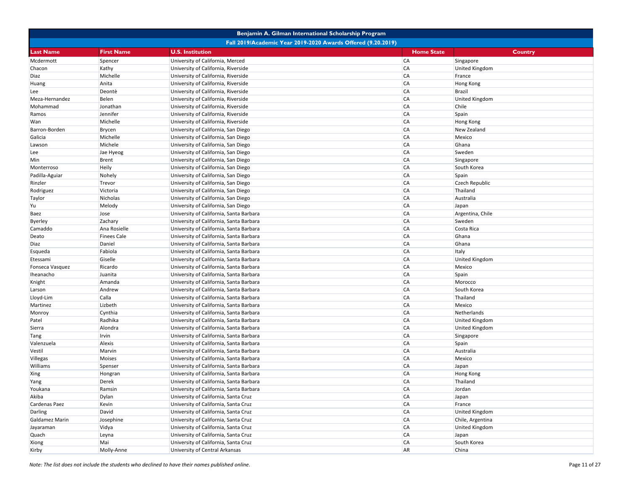|                 |                                                              | Benjamin A. Gilman International Scholarship Program |                   |                       |  |  |
|-----------------|--------------------------------------------------------------|------------------------------------------------------|-------------------|-----------------------|--|--|
|                 | Fall 2019/Academic Year 2019-2020 Awards Offered (9.20.2019) |                                                      |                   |                       |  |  |
| Last Name       | <b>First Name</b>                                            | <b>U.S. Institution</b>                              | <b>Home State</b> | <b>Country</b>        |  |  |
| Mcdermott       | Spencer                                                      | University of California, Merced                     | <b>CA</b>         | Singapore             |  |  |
| Chacon          | Kathy                                                        | University of California, Riverside                  | <b>CA</b>         | <b>United Kingdom</b> |  |  |
| Diaz            | Michelle                                                     | University of California, Riverside                  | <b>CA</b>         | France                |  |  |
| Huang           | Anita                                                        | University of California, Riverside                  | <b>CA</b>         | <b>Hong Kong</b>      |  |  |
| Lee             | Deontè                                                       | University of California, Riverside                  | <b>CA</b>         | <b>Brazil</b>         |  |  |
| Meza-Hernandez  | <b>Belen</b>                                                 | University of California, Riverside                  | <b>CA</b>         | <b>United Kingdom</b> |  |  |
| Mohammad        | Jonathan                                                     | University of California, Riverside                  | <b>CA</b>         | Chile                 |  |  |
| Ramos           | Jennifer                                                     | University of California, Riverside                  | <b>CA</b>         | Spain                 |  |  |
| Wan             | Michelle                                                     | University of California, Riverside                  | <b>CA</b>         | <b>Hong Kong</b>      |  |  |
| Barron-Borden   | <b>Brycen</b>                                                | University of California, San Diego                  | <b>CA</b>         | New Zealand           |  |  |
| Galicia         | Michelle                                                     | University of California, San Diego                  | <b>CA</b>         | Mexico                |  |  |
| Lawson          | Michele                                                      | University of California, San Diego                  | <b>CA</b>         | Ghana                 |  |  |
| Lee             | Jae Hyeog                                                    | University of California, San Diego                  | <b>CA</b>         | Sweden                |  |  |
| Min             | <b>Brent</b>                                                 | University of California, San Diego                  | <b>CA</b>         | Singapore             |  |  |
| Monterroso      | <b>Heily</b>                                                 | University of California, San Diego                  | <b>CA</b>         | South Korea           |  |  |
| Padilla-Aguiar  | Nohely                                                       | University of California, San Diego                  | <b>CA</b>         | Spain                 |  |  |
| Rinzler         | Trevor                                                       | University of California, San Diego                  | <b>CA</b>         | <b>Czech Republic</b> |  |  |
| Rodriguez       | Victoria                                                     | University of California, San Diego                  | <b>CA</b>         | Thailand              |  |  |
| Taylor          | Nicholas                                                     | University of California, San Diego                  | <b>CA</b>         | Australia             |  |  |
| Yu              | Melody                                                       | University of California, San Diego                  | <b>CA</b>         | Japan                 |  |  |
| Baez            | Jose                                                         | University of California, Santa Barbara              | <b>CA</b>         | Argentina, Chile      |  |  |
| Byerley         | Zachary                                                      | University of California, Santa Barbara              | <b>CA</b>         | Sweden                |  |  |
| Camaddo         | Ana Rosielle                                                 | University of California, Santa Barbara              | <b>CA</b>         | Costa Rica            |  |  |
| Deato           | <b>Finees Cale</b>                                           | University of California, Santa Barbara              | <b>CA</b>         | Ghana                 |  |  |
| Diaz            | Daniel                                                       | University of California, Santa Barbara              | <b>CA</b>         | Ghana                 |  |  |
| Esqueda         | Fabiola                                                      | University of California, Santa Barbara              | <b>CA</b>         | Italy                 |  |  |
| Etessami        | Giselle                                                      | University of California, Santa Barbara              | <b>CA</b>         | <b>United Kingdom</b> |  |  |
| Fonseca Vasquez | Ricardo                                                      | University of California, Santa Barbara              | <b>CA</b>         | Mexico                |  |  |
| Iheanacho       | Juanita                                                      | University of California, Santa Barbara              | <b>CA</b>         | Spain                 |  |  |
| Knight          | Amanda                                                       | University of California, Santa Barbara              | <b>CA</b>         | Morocco               |  |  |
| Larson          | Andrew                                                       | University of California, Santa Barbara              | <b>CA</b>         | South Korea           |  |  |
| Lloyd-Lim       | Calla                                                        | University of California, Santa Barbara              | <b>CA</b>         | Thailand              |  |  |
| Martinez        | Lizbeth                                                      | University of California, Santa Barbara              | <b>CA</b>         | Mexico                |  |  |
| Monroy          | Cynthia                                                      | University of California, Santa Barbara              | <b>CA</b>         | Netherlands           |  |  |
| Patel           | Radhika                                                      | University of California, Santa Barbara              | <b>CA</b>         | <b>United Kingdom</b> |  |  |
| Sierra          | Alondra                                                      | University of California, Santa Barbara              | <b>CA</b>         | <b>United Kingdom</b> |  |  |
| Tang            | Irvin                                                        | University of California, Santa Barbara              | <b>CA</b>         | Singapore             |  |  |
| Valenzuela      | Alexis                                                       | University of California, Santa Barbara              | <b>CA</b>         | Spain                 |  |  |
| Vestil          | Marvin                                                       | University of California, Santa Barbara              | <b>CA</b>         | Australia             |  |  |
| Villegas        | Moises                                                       | University of California, Santa Barbara              | <b>CA</b>         | Mexico                |  |  |
| Williams        | Spenser                                                      | University of California, Santa Barbara              | <b>CA</b>         | Japan                 |  |  |
| Xing            | Hongran                                                      | University of California, Santa Barbara              | <b>CA</b>         | <b>Hong Kong</b>      |  |  |
| Yang            | Derek                                                        | University of California, Santa Barbara              | <b>CA</b>         | Thailand              |  |  |
| Youkana         | Ramsin                                                       | University of California, Santa Barbara              | <b>CA</b>         | Jordan                |  |  |
| Akiba           | <b>Dylan</b>                                                 | University of California, Santa Cruz                 | <b>CA</b>         | Japan                 |  |  |
| Cardenas Paez   | Kevin                                                        | University of California, Santa Cruz                 | <b>CA</b>         | France                |  |  |
| Darling         | David                                                        | University of California, Santa Cruz                 | <b>CA</b>         | <b>United Kingdom</b> |  |  |
| Galdamez Marin  | Josephine                                                    | University of California, Santa Cruz                 | <b>CA</b>         | Chile, Argentina      |  |  |
| Jayaraman       | Vidya                                                        | University of California, Santa Cruz                 | <b>CA</b>         | <b>United Kingdom</b> |  |  |
| Quach           | Leyna                                                        | University of California, Santa Cruz                 | <b>CA</b>         | Japan                 |  |  |
| Xiong           | Mai                                                          | University of California, Santa Cruz                 | <b>CA</b>         | South Korea           |  |  |
| Kirby           | Molly-Anne                                                   | University of Central Arkansas                       | <b>AR</b>         | China                 |  |  |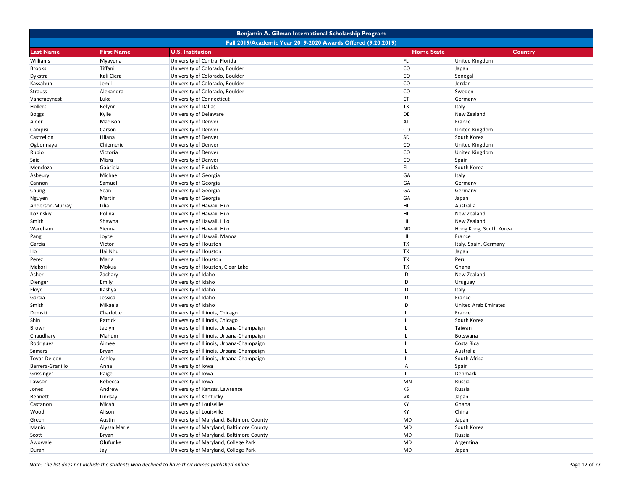|                  |                                                              | Benjamin A. Gilman International Scholarship Program |                   |                             |  |  |
|------------------|--------------------------------------------------------------|------------------------------------------------------|-------------------|-----------------------------|--|--|
|                  | Fall 2019/Academic Year 2019-2020 Awards Offered (9.20.2019) |                                                      |                   |                             |  |  |
| <b>Last Name</b> | <b>First Name</b>                                            | <b>U.S. Institution</b>                              | <b>Home State</b> | Country                     |  |  |
| Williams         | Myayuna                                                      | University of Central Florida                        | FL.               | <b>United Kingdom</b>       |  |  |
| <b>Brooks</b>    | Tiffani                                                      | University of Colorado, Boulder                      | <b>CO</b>         | Japan                       |  |  |
| Dykstra          | Kali Ciera                                                   | University of Colorado, Boulder                      | <b>CO</b>         | Senegal                     |  |  |
| Kassahun         | Jemil                                                        | University of Colorado, Boulder                      | <b>CO</b>         | Jordan                      |  |  |
| <b>Strauss</b>   | Alexandra                                                    | University of Colorado, Boulder                      | <b>CO</b>         | Sweden                      |  |  |
| Vancraeynest     | Luke                                                         | University of Connecticut                            | CT                | Germany                     |  |  |
| Hollers          | Belynn                                                       | University of Dallas                                 | <b>TX</b>         | Italy                       |  |  |
| <b>Boggs</b>     | Kylie                                                        | University of Delaware                               | DE                | New Zealand                 |  |  |
| Alder            | Madison                                                      | University of Denver                                 | <b>AL</b>         | France                      |  |  |
| Campisi          | Carson                                                       | University of Denver                                 | <b>CO</b>         | <b>United Kingdom</b>       |  |  |
| Castrellon       | Liliana                                                      | University of Denver                                 | <b>SD</b>         | South Korea                 |  |  |
| Ogbonnaya        | Chiemerie                                                    | University of Denver                                 | <b>CO</b>         | <b>United Kingdom</b>       |  |  |
| Rubio            | Victoria                                                     | University of Denver                                 | <b>CO</b>         | <b>United Kingdom</b>       |  |  |
| Said             | Misra                                                        | University of Denver                                 | <b>CO</b>         | Spain                       |  |  |
| Mendoza          | Gabriela                                                     | University of Florida                                | FL.               | South Korea                 |  |  |
| Asbeury          | Michael                                                      | University of Georgia                                | GA                | Italy                       |  |  |
| Cannon           | Samuel                                                       | University of Georgia                                | GA                | Germany                     |  |  |
| Chung            | Sean                                                         | University of Georgia                                | GA                | Germany                     |  |  |
| Nguyen           | Martin                                                       | University of Georgia                                | GA                | Japan                       |  |  |
| Anderson-Murray  | Lilia                                                        | University of Hawaii, Hilo                           | HI                | Australia                   |  |  |
| Kozinskiy        | Polina                                                       | University of Hawaii, Hilo                           | HI                | New Zealand                 |  |  |
| Smith            | Shawna                                                       | University of Hawaii, Hilo                           | HI                | <b>New Zealand</b>          |  |  |
| Wareham          | Sienna                                                       | University of Hawaii, Hilo                           | <b>ND</b>         | Hong Kong, South Korea      |  |  |
| Pang             | Joyce                                                        | University of Hawaii, Manoa                          | HI                | France                      |  |  |
| Garcia           | Victor                                                       | University of Houston                                | <b>TX</b>         | Italy, Spain, Germany       |  |  |
| Ho               | Hai Nhu                                                      | University of Houston                                | <b>TX</b>         | Japan                       |  |  |
| Perez            | Maria                                                        | University of Houston                                | <b>TX</b>         | Peru                        |  |  |
| Makori           | Mokua                                                        | University of Houston, Clear Lake                    | <b>TX</b>         | Ghana                       |  |  |
| Asher            | Zachary                                                      | University of Idaho                                  | ID                | New Zealand                 |  |  |
| Dienger          | Emily                                                        | University of Idaho                                  | ID                | Uruguay                     |  |  |
| Floyd            | Kashya                                                       | University of Idaho                                  | ID                | Italy                       |  |  |
| Garcia           | Jessica                                                      | University of Idaho                                  | ID                | France                      |  |  |
| Smith            | Mikaela                                                      | University of Idaho                                  | ID                | <b>United Arab Emirates</b> |  |  |
| Demski           | Charlotte                                                    | University of Illinois, Chicago                      | IL                | France                      |  |  |
| Shin             | Patrick                                                      | University of Illinois, Chicago                      | IL                | South Korea                 |  |  |
| Brown            | Jaelyn                                                       | University of Illinois, Urbana-Champaign             | IL                | Taiwan                      |  |  |
| Chaudhary        | Mahum                                                        | University of Illinois, Urbana-Champaign             | IL                | Botswana                    |  |  |
| Rodriguez        | Aimee                                                        | University of Illinois, Urbana-Champaign             | IL                | Costa Rica                  |  |  |
| Samars           | Bryan                                                        | University of Illinois, Urbana-Champaign             | IL                | Australia                   |  |  |
| Tovar-Deleon     | Ashley                                                       | University of Illinois, Urbana-Champaign             | IL                | South Africa                |  |  |
| Barrera-Granillo | Anna                                                         | University of Iowa                                   | <b>IA</b>         | Spain                       |  |  |
| Grissinger       | Paige                                                        | University of Iowa                                   | ΙL                | Denmark                     |  |  |
| Lawson           | Rebecca                                                      | University of Iowa                                   | <b>MN</b>         | Russia                      |  |  |
| Jones            | Andrew                                                       | University of Kansas, Lawrence                       | <b>KS</b>         | Russia                      |  |  |
| Bennett          | Lindsay                                                      | University of Kentucky                               | <b>VA</b>         | Japan                       |  |  |
| Castanon         | Micah                                                        | University of Louisville                             | KY                | Ghana                       |  |  |
| Wood             | Alison                                                       | University of Louisville                             | KY                | China                       |  |  |
| Green            | Austin                                                       | University of Maryland, Baltimore County             | MD                | Japan                       |  |  |
| Manio            | Alyssa Marie                                                 | University of Maryland, Baltimore County             | MD                | South Korea                 |  |  |
| Scott            | Bryan                                                        | University of Maryland, Baltimore County             | MD                | Russia                      |  |  |
| Awowale          | Olufunke                                                     | University of Maryland, College Park                 | MD                | Argentina                   |  |  |
| Duran            | Jay                                                          | University of Maryland, College Park                 | MD                | Japan                       |  |  |
|                  |                                                              |                                                      |                   |                             |  |  |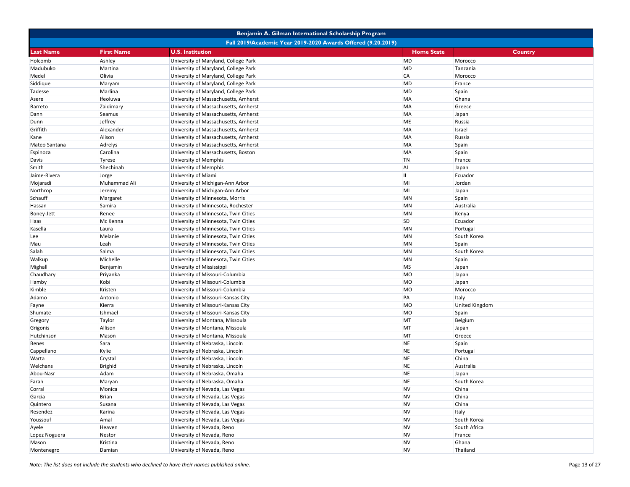|               |                   | Benjamin A. Gilman International Scholarship Program         |                   |                       |
|---------------|-------------------|--------------------------------------------------------------|-------------------|-----------------------|
|               |                   | Fall 2019/Academic Year 2019-2020 Awards Offered (9.20.2019) |                   |                       |
| Last Name     | <b>First Name</b> | <b>U.S. Institution</b>                                      | <b>Home State</b> | Country               |
| Holcomb       | Ashley            | University of Maryland, College Park                         | MD                | Morocco               |
| Madubuko      | Martina           | University of Maryland, College Park                         | MD                | Tanzania              |
| Medel         | Olivia            | University of Maryland, College Park                         | <b>CA</b>         | Morocco               |
| Siddique      | Maryam            | University of Maryland, College Park                         | MD                | France                |
| Tadesse       | Marlina           | University of Maryland, College Park                         | MD                | Spain                 |
| Asere         | Ifeoluwa          | University of Massachusetts, Amherst                         | MA                | Ghana                 |
| Barreto       | Zaidimary         | University of Massachusetts, Amherst                         | MA                | Greece                |
| Dann          | Seamus            | University of Massachusetts, Amherst                         | MA                | Japan                 |
| Dunn          | Jeffrey           | University of Massachusetts, Amherst                         | ME                | Russia                |
| Griffith      | Alexander         | University of Massachusetts, Amherst                         | <b>MA</b>         | Israel                |
| Kane          | Alison            | University of Massachusetts, Amherst                         | MA                | Russia                |
| Mateo Santana | Adrelys           | University of Massachusetts, Amherst                         | MA                | Spain                 |
| Espinoza      | Carolina          | University of Massachusetts, Boston                          | MA                | Spain                 |
| Davis         | <b>Tyrese</b>     | University of Memphis                                        | <b>TN</b>         | France                |
| Smith         | Shechinah         | University of Memphis                                        | <b>AL</b>         | Japan                 |
| Jaime-Rivera  | Jorge             | University of Miami                                          | IL.               | Ecuador               |
| Mojaradi      | Muhammad Ali      | University of Michigan-Ann Arbor                             | MI                | Jordan                |
| Northrop      | Jeremy            | University of Michigan-Ann Arbor                             | MI                | Japan                 |
| Schauff       | Margaret          | University of Minnesota, Morris                              | MN                | Spain                 |
| Hassan        | Samira            | University of Minnesota, Rochester                           | <b>MN</b>         | Australia             |
| Boney-Jett    | Renee             | University of Minnesota, Twin Cities                         | <b>MN</b>         | Kenya                 |
| Haas          | Mc Kenna          | University of Minnesota, Twin Cities                         | <b>SD</b>         | Ecuador               |
| Kasella       | Laura             | University of Minnesota, Twin Cities                         | MN                | Portugal              |
| Lee           | Melanie           | University of Minnesota, Twin Cities                         | <b>MN</b>         | South Korea           |
| Mau           | Leah              | University of Minnesota, Twin Cities                         | <b>MN</b>         | Spain                 |
| Salah         | Salma             | University of Minnesota, Twin Cities                         | <b>MN</b>         | South Korea           |
| Walkup        | Michelle          | University of Minnesota, Twin Cities                         | MN                | Spain                 |
| Mighall       | Benjamin          | University of Mississippi                                    | <b>MS</b>         | Japan                 |
| Chaudhary     | Priyanka          | University of Missouri-Columbia                              | <b>MO</b>         | Japan                 |
| Hamby         | Kobi              | University of Missouri-Columbia                              | MO                | Japan                 |
| Kimble        | Kristen           | University of Missouri-Columbia                              | MO                | Morocco               |
| Adamo         | Antonio           | University of Missouri-Kansas City                           | PA                | Italy                 |
| Fayne         | Kierra            | University of Missouri-Kansas City                           | <b>MO</b>         | <b>United Kingdom</b> |
| Shumate       | Ishmael           | University of Missouri-Kansas City                           | <b>MO</b>         | Spain                 |
| Gregory       | Taylor            | University of Montana, Missoula                              | MT                | Belgium               |
| Grigonis      | Allison           | University of Montana, Missoula                              | MT                | Japan                 |
| Hutchinson    | Mason             | University of Montana, Missoula                              | MT                | Greece                |
| Benes         | Sara              | University of Nebraska, Lincoln                              | <b>NE</b>         | Spain                 |
| Cappellano    | Kylie             | University of Nebraska, Lincoln                              | <b>NE</b>         | Portugal              |
| Warta         | Crystal           | University of Nebraska, Lincoln                              | <b>NE</b>         | China                 |
| Welchans      | Brighid           | University of Nebraska, Lincoln                              | <b>NE</b>         | Australia             |
| Abou-Nasr     | Adam              | University of Nebraska, Omaha                                | <b>NE</b>         | Japan                 |
| Farah         | Maryan            | University of Nebraska, Omaha                                | <b>NE</b>         | South Korea           |
| Corral        | Monica            | University of Nevada, Las Vegas                              | <b>NV</b>         | China                 |
| Garcia        | Brian             | University of Nevada, Las Vegas                              | <b>NV</b>         | China                 |
| Quintero      | Susana            | University of Nevada, Las Vegas                              | <b>NV</b>         | China                 |
| Resendez      | Karina            | University of Nevada, Las Vegas                              | <b>NV</b>         | Italy                 |
| Youssouf      | Amal              | University of Nevada, Las Vegas                              | <b>NV</b>         | South Korea           |
| Ayele         | Heaven            | University of Nevada, Reno                                   | <b>NV</b>         | South Africa          |
| Lopez Noguera | Nestor            | University of Nevada, Reno                                   | <b>NV</b>         | France                |
| Mason         | Kristina          | University of Nevada, Reno                                   | <b>NV</b>         | Ghana                 |
| Montenegro    | Damian            | University of Nevada, Reno                                   | <b>NV</b>         | Thailand              |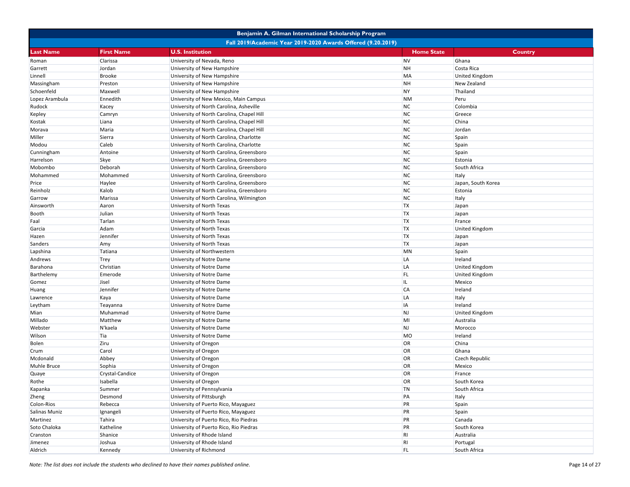|                |                   | Benjamin A. Gilman International Scholarship Program         |                   |                       |
|----------------|-------------------|--------------------------------------------------------------|-------------------|-----------------------|
|                |                   | Fall 2019/Academic Year 2019-2020 Awards Offered (9.20.2019) |                   |                       |
| Last Name      | <b>First Name</b> | <b>U.S. Institution</b>                                      | <b>Home State</b> | <b>Country</b>        |
| Roman          | Clarissa          | University of Nevada, Reno                                   | <b>NV</b>         | Ghana                 |
| Garrett        | Jordan            | University of New Hampshire                                  | <b>NH</b>         | Costa Rica            |
| Linnell        | <b>Brooke</b>     | University of New Hampshire                                  | MA                | <b>United Kingdom</b> |
| Massingham     | Preston           | University of New Hampshire                                  | <b>NH</b>         | New Zealand           |
| Schoenfeld     | Maxwell           | University of New Hampshire                                  | <b>NY</b>         | Thailand              |
| Lopez Arambula | Ennedith          | University of New Mexico, Main Campus                        | <b>NM</b>         | Peru                  |
| Rudock         | Kacey             | University of North Carolina, Asheville                      | <b>NC</b>         | Colombia              |
| Kepley         | Camryn            | University of North Carolina, Chapel Hill                    | <b>NC</b>         | Greece                |
| Kostak         | Liana             | University of North Carolina, Chapel Hill                    | <b>NC</b>         | China                 |
| Morava         | Maria             | University of North Carolina, Chapel Hill                    | <b>NC</b>         | Jordan                |
| Miller         | Sierra            | University of North Carolina, Charlotte                      | <b>NC</b>         | Spain                 |
| Modou          | Caleb             | University of North Carolina, Charlotte                      | NC                | Spain                 |
| Cunningham     | Antoine           | University of North Carolina, Greensboro                     | <b>NC</b>         | Spain                 |
| Harrelson      | <b>Skye</b>       | University of North Carolina, Greensboro                     | <b>NC</b>         | Estonia               |
| Mobombo        | Deborah           | University of North Carolina, Greensboro                     | <b>NC</b>         | South Africa          |
| Mohammed       | Mohammed          | University of North Carolina, Greensboro                     | <b>NC</b>         | Italy                 |
| Price          | Haylee            | University of North Carolina, Greensboro                     | <b>NC</b>         | Japan, South Korea    |
| Reinholz       | Kalob             | University of North Carolina, Greensboro                     | <b>NC</b>         | Estonia               |
| Garrow         | Marissa           | University of North Carolina, Wilmington                     | <b>NC</b>         | Italy                 |
| Ainsworth      | Aaron             | University of North Texas                                    | <b>TX</b>         | Japan                 |
| Booth          | Julian            | University of North Texas                                    | <b>TX</b>         | Japan                 |
| Faal           | Tarlan            | University of North Texas                                    | <b>TX</b>         | France                |
| Garcia         | Adam              | University of North Texas                                    | <b>TX</b>         | <b>United Kingdom</b> |
| Hazen          | Jennifer          | University of North Texas                                    | <b>TX</b>         | Japan                 |
| Sanders        | Amy               | University of North Texas                                    | <b>TX</b>         | Japan                 |
| Lapshina       | Tatiana           | University of Northwestern                                   | <b>MN</b>         | Spain                 |
| Andrews        | Trey              | University of Notre Dame                                     | LA                | Ireland               |
| Barahona       | Christian         | University of Notre Dame                                     | LA                | <b>United Kingdom</b> |
| Barthelemy     | Emerode           | University of Notre Dame                                     | FL.               | <b>United Kingdom</b> |
| Gomez          | Jisel             | University of Notre Dame                                     | IL                | Mexico                |
| Huang          | Jennifer          | University of Notre Dame                                     | <b>CA</b>         | Ireland               |
| Lawrence       | Kaya              | University of Notre Dame                                     | LA                | Italy                 |
| Leytham        | Teayanna          | University of Notre Dame                                     | <b>IA</b>         | Ireland               |
| Mian           | Muhammad          | University of Notre Dame                                     | <b>NJ</b>         | <b>United Kingdom</b> |
| Millado        | Matthew           | University of Notre Dame                                     | MI                | Australia             |
| Webster        | N'kaela           | University of Notre Dame                                     | <b>NJ</b>         | Morocco               |
| Wilson         | Tia               | University of Notre Dame                                     | MO                | Ireland               |
| <b>Bolen</b>   | Ziru              | University of Oregon                                         | OR                | China                 |
| Crum           | Carol             | University of Oregon                                         | OR                | Ghana                 |
| Mcdonald       | Abbey             | University of Oregon                                         | OR                | <b>Czech Republic</b> |
| Muhle Bruce    | Sophia            | University of Oregon                                         | OR                | Mexico                |
| Quaye          | Crystal-Candice   | University of Oregon                                         | OR                | France                |
| Rothe          | Isabella          | University of Oregon                                         | <b>OR</b>         | South Korea           |
| Kapanka        | Summer            | University of Pennsylvania                                   | TN                | South Africa          |
| Zheng          | Desmond           | University of Pittsburgh                                     | PA                | Italy                 |
| Colon-Rios     | Rebecca           | University of Puerto Rico, Mayaguez                          | PR                | Spain                 |
| Salinas Muniz  | Ignangeli         | University of Puerto Rico, Mayaguez                          | PR                | Spain                 |
| Martinez       | Tahira            | University of Puerto Rico, Rio Piedras                       | PR                | Canada                |
| Soto Chaloka   | Katheline         | University of Puerto Rico, Rio Piedras                       | PR                | South Korea           |
| Cranston       | Shanice           | University of Rhode Island                                   | R <sub>l</sub>    | Australia             |
| Jimenez        | Joshua            | University of Rhode Island                                   | R <sub>l</sub>    | Portugal              |
| Aldrich        | Kennedy           | University of Richmond                                       | FL.               | South Africa          |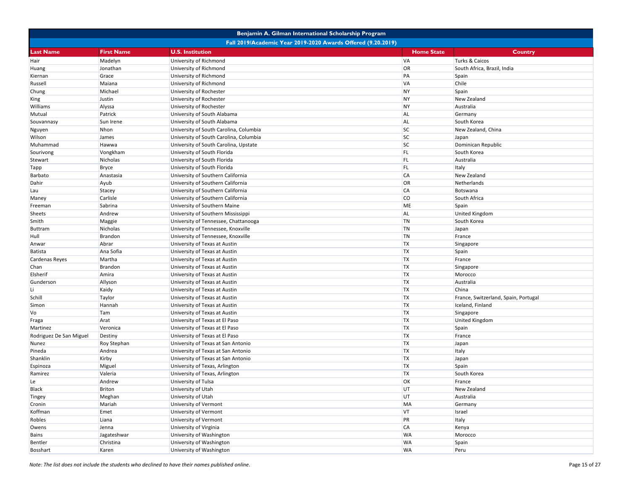| Benjamin A. Gilman International Scholarship Program |                                                              |                                        |                   |                                      |  |
|------------------------------------------------------|--------------------------------------------------------------|----------------------------------------|-------------------|--------------------------------------|--|
|                                                      | Fall 2019/Academic Year 2019-2020 Awards Offered (9.20.2019) |                                        |                   |                                      |  |
| <b>Last Name</b>                                     | <b>First Name</b>                                            | <b>U.S. Institution</b>                | <b>Home State</b> | Country                              |  |
| Hair                                                 | Madelyn                                                      | University of Richmond                 | <b>VA</b>         | Turks & Caicos                       |  |
| Huang                                                | Jonathan                                                     | University of Richmond                 | OR                | South Africa, Brazil, India          |  |
| Kiernan                                              | Grace                                                        | University of Richmond                 | PA                | Spain                                |  |
| Russell                                              | Maiana                                                       | University of Richmond                 | <b>VA</b>         | Chile                                |  |
| Chung                                                | Michael                                                      | University of Rochester                | <b>NY</b>         | Spain                                |  |
| King                                                 | Justin                                                       | University of Rochester                | <b>NY</b>         | New Zealand                          |  |
| Williams                                             | Alyssa                                                       | University of Rochester                | <b>NY</b>         | Australia                            |  |
| Mutual                                               | Patrick                                                      | University of South Alabama            | <b>AL</b>         | Germany                              |  |
| Souvannasy                                           | Sun Irene                                                    | University of South Alabama            | <b>AL</b>         | South Korea                          |  |
| Nguyen                                               | Nhon                                                         | University of South Carolina, Columbia | <b>SC</b>         | New Zealand, China                   |  |
| Wilson                                               | James                                                        | University of South Carolina, Columbia | <b>SC</b>         | Japan                                |  |
| Muhammad                                             | Hawwa                                                        | University of South Carolina, Upstate  | <b>SC</b>         | Dominican Republic                   |  |
| Sourivong                                            | Vongkham                                                     | University of South Florida            | FL                | South Korea                          |  |
| <b>Stewart</b>                                       | Nicholas                                                     | University of South Florida            | <b>FL</b>         | Australia                            |  |
| <b>Tapp</b>                                          | Bryce                                                        | University of South Florida            | FL.               | Italy                                |  |
| Barbato                                              | Anastasia                                                    | University of Southern California      | <b>CA</b>         | New Zealand                          |  |
| Dahir                                                | Ayub                                                         | University of Southern California      | OR                | Netherlands                          |  |
| Lau                                                  | Stacey                                                       | University of Southern California      | <b>CA</b>         | Botswana                             |  |
| Maney                                                | Carlisle                                                     | University of Southern California      | <b>CO</b>         | South Africa                         |  |
| Freeman                                              | Sabrina                                                      | University of Southern Maine           | <b>ME</b>         | Spain                                |  |
| <b>Sheets</b>                                        | Andrew                                                       | University of Southern Mississippi     | <b>AL</b>         | United Kingdom                       |  |
| Smith                                                | Maggie                                                       | University of Tennessee, Chattanooga   | <b>TN</b>         | South Korea                          |  |
| Buttram                                              | Nicholas                                                     | University of Tennessee, Knoxville     | <b>TN</b>         | Japan                                |  |
| Hull                                                 | Brandon                                                      | University of Tennessee, Knoxville     | <b>TN</b>         | France                               |  |
|                                                      | Abrar                                                        |                                        | <b>TX</b>         |                                      |  |
| Anwar                                                | Ana Sofia                                                    | University of Texas at Austin          | <b>TX</b>         | Singapore                            |  |
| Batista                                              |                                                              | University of Texas at Austin          | <b>TX</b>         | Spain                                |  |
| Cardenas Reyes                                       | Martha                                                       | University of Texas at Austin          | <b>TX</b>         | France                               |  |
| Chan                                                 | Brandon                                                      | University of Texas at Austin          | <b>TX</b>         | Singapore                            |  |
| Elsherif                                             | Amira                                                        | University of Texas at Austin          |                   | Morocco                              |  |
| Gunderson                                            | Allyson                                                      | University of Texas at Austin          | <b>TX</b>         | Australia                            |  |
| Li                                                   | Kaidy                                                        | University of Texas at Austin          | <b>TX</b>         | China                                |  |
| Schill                                               | Taylor                                                       | University of Texas at Austin          | <b>TX</b>         | France, Switzerland, Spain, Portugal |  |
| Simon                                                | Hannah                                                       | University of Texas at Austin          | <b>TX</b>         | Iceland, Finland                     |  |
| Vo                                                   | Tam                                                          | University of Texas at Austin          | <b>TX</b>         | Singapore                            |  |
| Fraga                                                | Arat                                                         | University of Texas at El Paso         | <b>TX</b>         | <b>United Kingdom</b>                |  |
| Martinez                                             | Veronica                                                     | University of Texas at El Paso         | <b>TX</b>         | Spain                                |  |
| Rodriguez De San Miguel                              | Destiny                                                      | University of Texas at El Paso         | <b>TX</b>         | France                               |  |
| Nunez                                                | Roy Stephan                                                  | University of Texas at San Antonio     | <b>TX</b>         | Japan                                |  |
| Pineda                                               | Andrea                                                       | University of Texas at San Antonio     | <b>TX</b>         | Italy                                |  |
| Shanklin                                             | Kirby                                                        | University of Texas at San Antonio     | <b>TX</b>         | Japan                                |  |
| Espinoza                                             | Miguel                                                       | University of Texas, Arlington         | <b>TX</b>         | Spain                                |  |
| Ramirez                                              | Valeria                                                      | University of Texas, Arlington         | <b>TX</b>         | South Korea                          |  |
| Le                                                   | Andrew                                                       | University of Tulsa                    | <b>OK</b>         | France                               |  |
| <b>Black</b>                                         | <b>Briton</b>                                                | University of Utah                     | UT                | New Zealand                          |  |
| Tingey                                               | Meghan                                                       | University of Utah                     | UT                | Australia                            |  |
| Cronin                                               | Mariah                                                       | University of Vermont                  | MA                | Germany                              |  |
| Koffman                                              | Emet                                                         | University of Vermont                  | VT                | Israel                               |  |
| Robles                                               | Liana                                                        | University of Vermont                  | PR                | Italy                                |  |
| Owens                                                | Jenna                                                        | University of Virginia                 | <b>CA</b>         | Kenya                                |  |
| Bains                                                | Jagateshwar                                                  | University of Washington               | <b>WA</b>         | Morocco                              |  |
| Bentler                                              | Christina                                                    | University of Washington               | <b>WA</b>         | Spain                                |  |
| Bosshart                                             | Karen                                                        | University of Washington               | <b>WA</b>         | Peru                                 |  |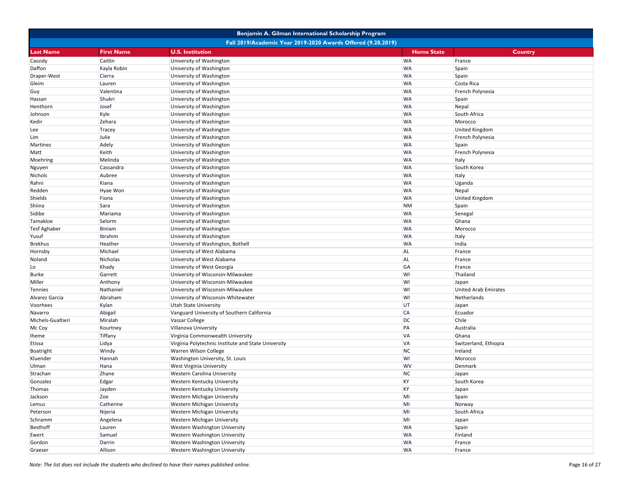|                     |                   | Benjamin A. Gilman International Scholarship Program         |                   |                             |
|---------------------|-------------------|--------------------------------------------------------------|-------------------|-----------------------------|
|                     |                   | Fall 2019/Academic Year 2019-2020 Awards Offered (9.20.2019) |                   |                             |
| Last Name           | <b>First Name</b> | <b>U.S. Institution</b>                                      | <b>Home State</b> | Country                     |
| Cassidy             | Caitlin           | University of Washington                                     | <b>WA</b>         | France                      |
| Daffon              | Kayla Robin       | University of Washington                                     | <b>WA</b>         | Spain                       |
| Draper-West         | Cierra            | University of Washington                                     | <b>WA</b>         | Spain                       |
| Gleim               | Lauren            | University of Washington                                     | <b>WA</b>         | Costa Rica                  |
| Guy                 | Valentina         | University of Washington                                     | <b>WA</b>         | French Polynesia            |
| Hassan              | Shukri            | University of Washington                                     | <b>WA</b>         | Spain                       |
| Henthorn            | Josef             | University of Washington                                     | <b>WA</b>         | Nepal                       |
| Johnson             | Kyle              | University of Washington                                     | <b>WA</b>         | South Africa                |
| Kedir               | Zehara            | University of Washington                                     | <b>WA</b>         | Morocco                     |
| Lee                 | Tracey            | University of Washington                                     | <b>WA</b>         | <b>United Kingdom</b>       |
| Lim                 | Julie             | University of Washington                                     | <b>WA</b>         | French Polynesia            |
| Martinez            | Adely             | University of Washington                                     | <b>WA</b>         | Spain                       |
| Matt                | Keith             | University of Washington                                     | <b>WA</b>         | French Polynesia            |
| Moehring            | Melinda           | University of Washington                                     | <b>WA</b>         | Italy                       |
| Nguyen              | Cassandra         | University of Washington                                     | <b>WA</b>         | South Korea                 |
| Nichols             | Aubree            | University of Washington                                     | <b>WA</b>         | Italy                       |
| Rahni               | Kiana             | University of Washington                                     | <b>WA</b>         | Uganda                      |
| Redden              | Hyae Won          | University of Washington                                     | <b>WA</b>         | Nepal                       |
| Shields             | Fiona             | University of Washington                                     | <b>WA</b>         | <b>United Kingdom</b>       |
| Shiina              | Sara              | University of Washington                                     | <b>NM</b>         | Spain                       |
| Sidibe              | Mariama           | University of Washington                                     | <b>WA</b>         | Senegal                     |
| Tamakloe            | Selorm            | University of Washington                                     | <b>WA</b>         | Ghana                       |
| <b>Tesf Aghaber</b> | Biniam            | University of Washington                                     | <b>WA</b>         | Morocco                     |
| Yusuf               | Ibrahim           | University of Washington                                     | <b>WA</b>         | Italy                       |
| <b>Brekhus</b>      | Heather           | University of Washington, Bothell                            | <b>WA</b>         | India                       |
| Hornsby             | Michael           | University of West Alabama                                   | <b>AL</b>         | France                      |
| Noland              | Nicholas          | University of West Alabama                                   | <b>AL</b>         | France                      |
| Lo                  | Khady             | University of West Georgia                                   | GA                | France                      |
| <b>Burke</b>        | Garrett           | University of Wisconsin-Milwaukee                            | WI                | Thailand                    |
| Miller              | Anthony           | University of Wisconsin-Milwaukee                            | WI                | Japan                       |
| Tennies             | Nathaniel         | University of Wisconsin-Milwaukee                            | WI                | <b>United Arab Emirates</b> |
| Alvarez Garcia      | Abraham           | University of Wisconsin-Whitewater                           | WI                | Netherlands                 |
| Voorhees            | Kylan             | <b>Utah State University</b>                                 | UT                | Japan                       |
| Navarro             | Abigail           | Vanguard University of Southern California                   | <b>CA</b>         | Ecuador                     |
| Michels-Gualtieri   | Miralah           | Vassar College                                               | <b>DC</b>         | Chile                       |
| Mc Coy              | Kourtney          | Villanova University                                         | PA                | Australia                   |
| Iheme               | Tiffany           | Virginia Commonwealth University                             | <b>VA</b>         | Ghana                       |
| Etissa              | Lidya             | Virginia Polytechnic Institute and State University          | <b>VA</b>         | Switzerland, Ethiopia       |
| Boatright           | Windy             | Warren Wilson College                                        | <b>NC</b>         | Ireland                     |
| Kluender            | Hannah            | Washington University, St. Louis                             | WI                | Morocco                     |
| Ulman               | Hana              | West Virginia University                                     | <b>WV</b>         | Denmark                     |
| Strachan            | Zhane             | <b>Western Carolina University</b>                           | <b>NC</b>         | Japan                       |
| Gonzalez            | Edgar             | Western Kentucky University                                  | <b>KY</b>         | South Korea                 |
| Thomas              | Jayden            | Western Kentucky University                                  | KY                | Japan                       |
| Jackson             | Zoe               | Western Michigan University                                  | MI                | Spain                       |
| Lemus               | Catherine         | Western Michigan University                                  | MI                | Norway                      |
| Peterson            | Nijeria           | Western Michigan University                                  | MI                | South Africa                |
| Schramm             | Angelena          | Western Michigan University                                  | MI                | Japan                       |
| Besthoff            | Lauren            | Western Washington University                                | <b>WA</b>         | Spain                       |
| Ewert               | Samuel            | Western Washington University                                | <b>WA</b>         | Finland                     |
| Gordon              | Darrin            | Western Washington University                                | <b>WA</b>         | France                      |
| Graeser             | Allison           | Western Washington University                                | <b>WA</b>         | France                      |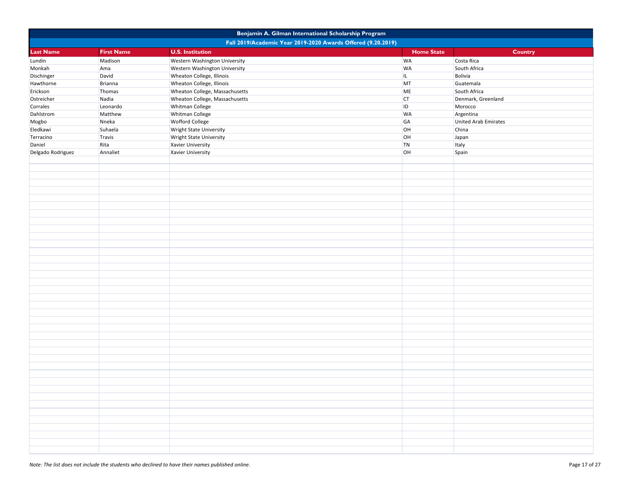|                   | Benjamin A. Gilman International Scholarship Program |                                                              |                   |                      |  |
|-------------------|------------------------------------------------------|--------------------------------------------------------------|-------------------|----------------------|--|
|                   |                                                      | Fall 2019/Academic Year 2019-2020 Awards Offered (9.20.2019) |                   |                      |  |
| <b>Last Name</b>  | <b>First Name</b>                                    | <b>U.S. Institution</b>                                      | <b>Home State</b> | Country              |  |
| Lundin            | Madison                                              | Western Washington University                                | <b>WA</b>         | Costa Rica           |  |
| Monkah            | Ama                                                  | Western Washington University                                | <b>WA</b>         | South Africa         |  |
| Dischinger        | David                                                | Wheaton College, Illinois                                    | IL.               | Bolivia              |  |
| Hawthorne         | Brianna                                              | Wheaton College, Illinois                                    | MT                | Guatemala            |  |
| Erickson          | Thomas                                               | Wheaton College, Massachusetts                               | ME                | South Africa         |  |
| Ostreicher        | Nadia                                                | Wheaton College, Massachusetts                               | <b>CT</b>         | Denmark, Greenland   |  |
| Corrales          | Leonardo                                             | Whitman College                                              | ID                | Morocco              |  |
| Dahlstrom         | Matthew                                              | Whitman College                                              | <b>WA</b>         | Argentina            |  |
| Mogbo             | Nneka                                                | Wofford College                                              | GA                | United Arab Emirates |  |
| Eledkawi          | Suhaela                                              | Wright State University                                      | OH                | China                |  |
| Terracino         | Travis                                               | Wright State University                                      | OH                | Japan                |  |
| Daniel            | Rita                                                 | Xavier University                                            | TN                | Italy                |  |
| Delgado Rodriguez | Annaliet                                             | Xavier University                                            | OH                | Spain                |  |
|                   |                                                      |                                                              |                   |                      |  |
|                   |                                                      |                                                              |                   |                      |  |
|                   |                                                      |                                                              |                   |                      |  |
|                   |                                                      |                                                              |                   |                      |  |
|                   |                                                      |                                                              |                   |                      |  |
|                   |                                                      |                                                              |                   |                      |  |
|                   |                                                      |                                                              |                   |                      |  |
|                   |                                                      |                                                              |                   |                      |  |
|                   |                                                      |                                                              |                   |                      |  |
|                   |                                                      |                                                              |                   |                      |  |
|                   |                                                      |                                                              |                   |                      |  |
|                   |                                                      |                                                              |                   |                      |  |
|                   |                                                      |                                                              |                   |                      |  |
|                   |                                                      |                                                              |                   |                      |  |
|                   |                                                      |                                                              |                   |                      |  |
|                   |                                                      |                                                              |                   |                      |  |
|                   |                                                      |                                                              |                   |                      |  |
|                   |                                                      |                                                              |                   |                      |  |
|                   |                                                      |                                                              |                   |                      |  |
|                   |                                                      |                                                              |                   |                      |  |
|                   |                                                      |                                                              |                   |                      |  |
|                   |                                                      |                                                              |                   |                      |  |
|                   |                                                      |                                                              |                   |                      |  |
|                   |                                                      |                                                              |                   |                      |  |
|                   |                                                      |                                                              |                   |                      |  |
|                   |                                                      |                                                              |                   |                      |  |
|                   |                                                      |                                                              |                   |                      |  |
|                   |                                                      |                                                              |                   |                      |  |
|                   |                                                      |                                                              |                   |                      |  |
|                   |                                                      |                                                              |                   |                      |  |
|                   |                                                      |                                                              |                   |                      |  |
|                   |                                                      |                                                              |                   |                      |  |
|                   |                                                      |                                                              |                   |                      |  |
|                   |                                                      |                                                              |                   |                      |  |
|                   |                                                      |                                                              |                   |                      |  |
|                   |                                                      |                                                              |                   |                      |  |
|                   |                                                      |                                                              |                   |                      |  |
|                   |                                                      |                                                              |                   |                      |  |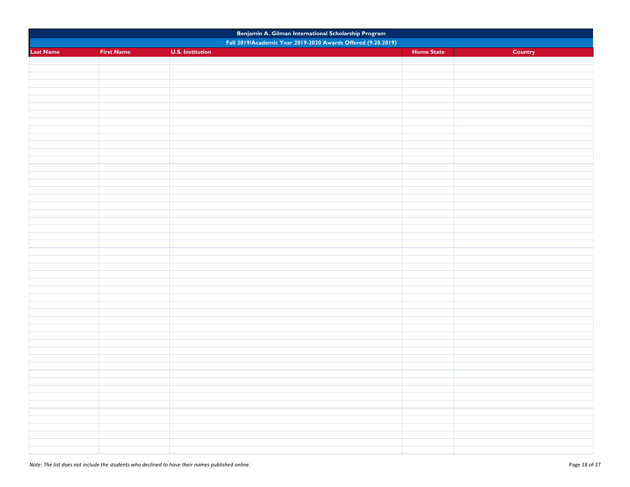| Benjamin A. Gilman International Scholarship Program |                   |                                                              |                   |         |
|------------------------------------------------------|-------------------|--------------------------------------------------------------|-------------------|---------|
|                                                      |                   | Fall 2019/Academic Year 2019-2020 Awards Offered (9.20.2019) |                   |         |
| <b>Last Name</b>                                     | <b>First Name</b> | <b>U.S. Institution</b>                                      | <b>Home State</b> | Country |
|                                                      |                   |                                                              |                   |         |
|                                                      |                   |                                                              |                   |         |
|                                                      |                   |                                                              |                   |         |
|                                                      |                   |                                                              |                   |         |
|                                                      |                   |                                                              |                   |         |
|                                                      |                   |                                                              |                   |         |
|                                                      |                   |                                                              |                   |         |
|                                                      |                   |                                                              |                   |         |
|                                                      |                   |                                                              |                   |         |
|                                                      |                   |                                                              |                   |         |
|                                                      |                   |                                                              |                   |         |
|                                                      |                   |                                                              |                   |         |
|                                                      |                   |                                                              |                   |         |
|                                                      |                   |                                                              |                   |         |
|                                                      |                   |                                                              |                   |         |
|                                                      |                   |                                                              |                   |         |
|                                                      |                   |                                                              |                   |         |
|                                                      |                   |                                                              |                   |         |
|                                                      |                   |                                                              |                   |         |
|                                                      |                   |                                                              |                   |         |
|                                                      |                   |                                                              |                   |         |
|                                                      |                   |                                                              |                   |         |
|                                                      |                   |                                                              |                   |         |
|                                                      |                   |                                                              |                   |         |
|                                                      |                   |                                                              |                   |         |
|                                                      |                   |                                                              |                   |         |
|                                                      |                   |                                                              |                   |         |
|                                                      |                   |                                                              |                   |         |
|                                                      |                   |                                                              |                   |         |
|                                                      |                   |                                                              |                   |         |
|                                                      |                   |                                                              |                   |         |
|                                                      |                   |                                                              |                   |         |
|                                                      |                   |                                                              |                   |         |
|                                                      |                   |                                                              |                   |         |
|                                                      |                   |                                                              |                   |         |
|                                                      |                   |                                                              |                   |         |
|                                                      |                   |                                                              |                   |         |
|                                                      |                   |                                                              |                   |         |
|                                                      |                   |                                                              |                   |         |
|                                                      |                   |                                                              |                   |         |
|                                                      |                   |                                                              |                   |         |
|                                                      |                   |                                                              |                   |         |
|                                                      |                   |                                                              |                   |         |
|                                                      |                   |                                                              |                   |         |
|                                                      |                   |                                                              |                   |         |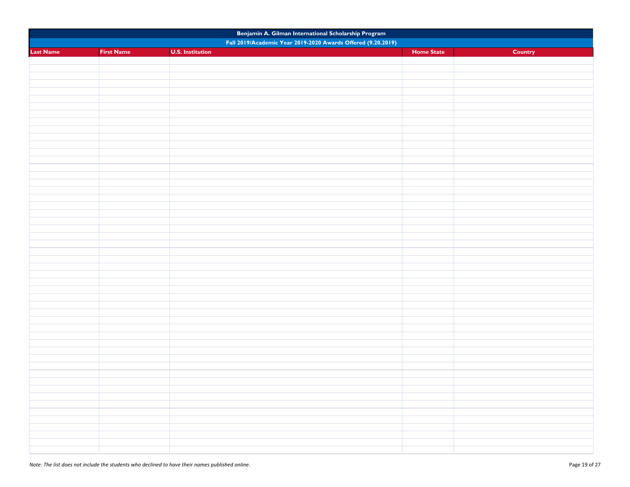| Benjamin A. Gilman International Scholarship Program |                   |                                                              |                   |         |
|------------------------------------------------------|-------------------|--------------------------------------------------------------|-------------------|---------|
|                                                      |                   | Fall 2019/Academic Year 2019-2020 Awards Offered (9.20.2019) |                   |         |
| <b>Last Name</b>                                     | <b>First Name</b> | <b>U.S. Institution</b>                                      | <b>Home State</b> | Country |
|                                                      |                   |                                                              |                   |         |
|                                                      |                   |                                                              |                   |         |
|                                                      |                   |                                                              |                   |         |
|                                                      |                   |                                                              |                   |         |
|                                                      |                   |                                                              |                   |         |
|                                                      |                   |                                                              |                   |         |
|                                                      |                   |                                                              |                   |         |
|                                                      |                   |                                                              |                   |         |
|                                                      |                   |                                                              |                   |         |
|                                                      |                   |                                                              |                   |         |
|                                                      |                   |                                                              |                   |         |
|                                                      |                   |                                                              |                   |         |
|                                                      |                   |                                                              |                   |         |
|                                                      |                   |                                                              |                   |         |
|                                                      |                   |                                                              |                   |         |
|                                                      |                   |                                                              |                   |         |
|                                                      |                   |                                                              |                   |         |
|                                                      |                   |                                                              |                   |         |
|                                                      |                   |                                                              |                   |         |
|                                                      |                   |                                                              |                   |         |
|                                                      |                   |                                                              |                   |         |
|                                                      |                   |                                                              |                   |         |
|                                                      |                   |                                                              |                   |         |
|                                                      |                   |                                                              |                   |         |
|                                                      |                   |                                                              |                   |         |
|                                                      |                   |                                                              |                   |         |
|                                                      |                   |                                                              |                   |         |
|                                                      |                   |                                                              |                   |         |
|                                                      |                   |                                                              |                   |         |
|                                                      |                   |                                                              |                   |         |
|                                                      |                   |                                                              |                   |         |
|                                                      |                   |                                                              |                   |         |
|                                                      |                   |                                                              |                   |         |
|                                                      |                   |                                                              |                   |         |
|                                                      |                   |                                                              |                   |         |
|                                                      |                   |                                                              |                   |         |
|                                                      |                   |                                                              |                   |         |
|                                                      |                   |                                                              |                   |         |
|                                                      |                   |                                                              |                   |         |
|                                                      |                   |                                                              |                   |         |
|                                                      |                   |                                                              |                   |         |
|                                                      |                   |                                                              |                   |         |
|                                                      |                   |                                                              |                   |         |
|                                                      |                   |                                                              |                   |         |
|                                                      |                   |                                                              |                   |         |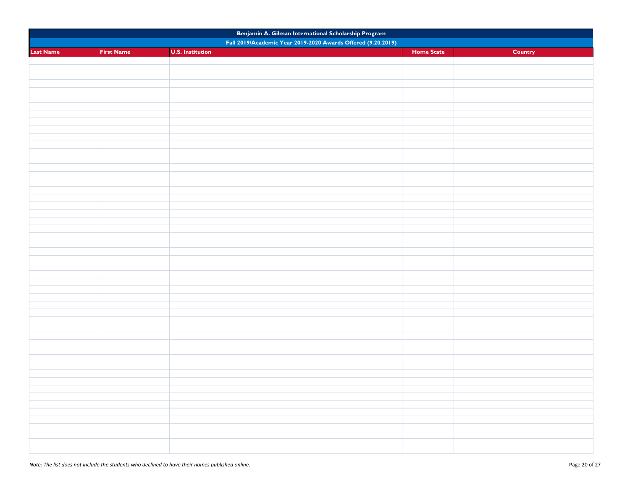| Benjamin A. Gilman International Scholarship Program |                   |                                                              |                   |         |
|------------------------------------------------------|-------------------|--------------------------------------------------------------|-------------------|---------|
|                                                      |                   | Fall 2019/Academic Year 2019-2020 Awards Offered (9.20.2019) |                   |         |
| <b>Last Name</b>                                     | <b>First Name</b> | <b>U.S. Institution</b>                                      | <b>Home State</b> | Country |
|                                                      |                   |                                                              |                   |         |
|                                                      |                   |                                                              |                   |         |
|                                                      |                   |                                                              |                   |         |
|                                                      |                   |                                                              |                   |         |
|                                                      |                   |                                                              |                   |         |
|                                                      |                   |                                                              |                   |         |
|                                                      |                   |                                                              |                   |         |
|                                                      |                   |                                                              |                   |         |
|                                                      |                   |                                                              |                   |         |
|                                                      |                   |                                                              |                   |         |
|                                                      |                   |                                                              |                   |         |
|                                                      |                   |                                                              |                   |         |
|                                                      |                   |                                                              |                   |         |
|                                                      |                   |                                                              |                   |         |
|                                                      |                   |                                                              |                   |         |
|                                                      |                   |                                                              |                   |         |
|                                                      |                   |                                                              |                   |         |
|                                                      |                   |                                                              |                   |         |
|                                                      |                   |                                                              |                   |         |
|                                                      |                   |                                                              |                   |         |
|                                                      |                   |                                                              |                   |         |
|                                                      |                   |                                                              |                   |         |
|                                                      |                   |                                                              |                   |         |
|                                                      |                   |                                                              |                   |         |
|                                                      |                   |                                                              |                   |         |
|                                                      |                   |                                                              |                   |         |
|                                                      |                   |                                                              |                   |         |
|                                                      |                   |                                                              |                   |         |
|                                                      |                   |                                                              |                   |         |
|                                                      |                   |                                                              |                   |         |
|                                                      |                   |                                                              |                   |         |
|                                                      |                   |                                                              |                   |         |
|                                                      |                   |                                                              |                   |         |
|                                                      |                   |                                                              |                   |         |
|                                                      |                   |                                                              |                   |         |
|                                                      |                   |                                                              |                   |         |
|                                                      |                   |                                                              |                   |         |
|                                                      |                   |                                                              |                   |         |
|                                                      |                   |                                                              |                   |         |
|                                                      |                   |                                                              |                   |         |
|                                                      |                   |                                                              |                   |         |
|                                                      |                   |                                                              |                   |         |
|                                                      |                   |                                                              |                   |         |
|                                                      |                   |                                                              |                   |         |
|                                                      |                   |                                                              |                   |         |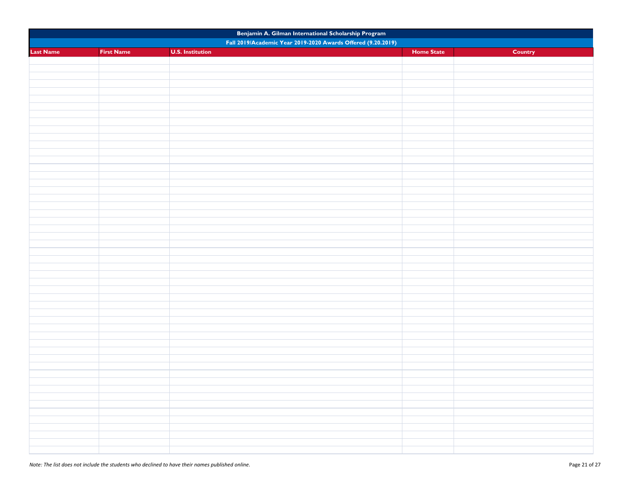| Benjamin A. Gilman International Scholarship Program |                   |                                                              |                   |         |
|------------------------------------------------------|-------------------|--------------------------------------------------------------|-------------------|---------|
|                                                      |                   | Fall 2019/Academic Year 2019-2020 Awards Offered (9.20.2019) |                   |         |
| <b>Last Name</b>                                     | <b>First Name</b> | <b>U.S. Institution</b>                                      | <b>Home State</b> | Country |
|                                                      |                   |                                                              |                   |         |
|                                                      |                   |                                                              |                   |         |
|                                                      |                   |                                                              |                   |         |
|                                                      |                   |                                                              |                   |         |
|                                                      |                   |                                                              |                   |         |
|                                                      |                   |                                                              |                   |         |
|                                                      |                   |                                                              |                   |         |
|                                                      |                   |                                                              |                   |         |
|                                                      |                   |                                                              |                   |         |
|                                                      |                   |                                                              |                   |         |
|                                                      |                   |                                                              |                   |         |
|                                                      |                   |                                                              |                   |         |
|                                                      |                   |                                                              |                   |         |
|                                                      |                   |                                                              |                   |         |
|                                                      |                   |                                                              |                   |         |
|                                                      |                   |                                                              |                   |         |
|                                                      |                   |                                                              |                   |         |
|                                                      |                   |                                                              |                   |         |
|                                                      |                   |                                                              |                   |         |
|                                                      |                   |                                                              |                   |         |
|                                                      |                   |                                                              |                   |         |
|                                                      |                   |                                                              |                   |         |
|                                                      |                   |                                                              |                   |         |
|                                                      |                   |                                                              |                   |         |
|                                                      |                   |                                                              |                   |         |
|                                                      |                   |                                                              |                   |         |
|                                                      |                   |                                                              |                   |         |
|                                                      |                   |                                                              |                   |         |
|                                                      |                   |                                                              |                   |         |
|                                                      |                   |                                                              |                   |         |
|                                                      |                   |                                                              |                   |         |
|                                                      |                   |                                                              |                   |         |
|                                                      |                   |                                                              |                   |         |
|                                                      |                   |                                                              |                   |         |
|                                                      |                   |                                                              |                   |         |
|                                                      |                   |                                                              |                   |         |
|                                                      |                   |                                                              |                   |         |
|                                                      |                   |                                                              |                   |         |
|                                                      |                   |                                                              |                   |         |
|                                                      |                   |                                                              |                   |         |
|                                                      |                   |                                                              |                   |         |
|                                                      |                   |                                                              |                   |         |
|                                                      |                   |                                                              |                   |         |
|                                                      |                   |                                                              |                   |         |
|                                                      |                   |                                                              |                   |         |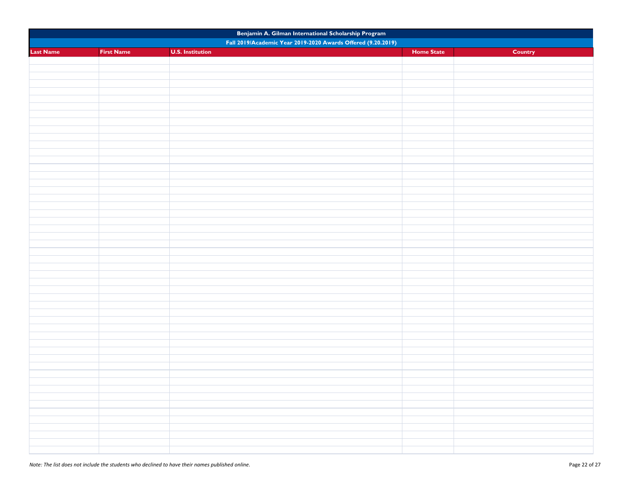| Benjamin A. Gilman International Scholarship Program |                   |                                                              |                   |         |
|------------------------------------------------------|-------------------|--------------------------------------------------------------|-------------------|---------|
|                                                      |                   | Fall 2019/Academic Year 2019-2020 Awards Offered (9.20.2019) |                   |         |
| <b>Last Name</b>                                     | <b>First Name</b> | <b>U.S. Institution</b>                                      | <b>Home State</b> | Country |
|                                                      |                   |                                                              |                   |         |
|                                                      |                   |                                                              |                   |         |
|                                                      |                   |                                                              |                   |         |
|                                                      |                   |                                                              |                   |         |
|                                                      |                   |                                                              |                   |         |
|                                                      |                   |                                                              |                   |         |
|                                                      |                   |                                                              |                   |         |
|                                                      |                   |                                                              |                   |         |
|                                                      |                   |                                                              |                   |         |
|                                                      |                   |                                                              |                   |         |
|                                                      |                   |                                                              |                   |         |
|                                                      |                   |                                                              |                   |         |
|                                                      |                   |                                                              |                   |         |
|                                                      |                   |                                                              |                   |         |
|                                                      |                   |                                                              |                   |         |
|                                                      |                   |                                                              |                   |         |
|                                                      |                   |                                                              |                   |         |
|                                                      |                   |                                                              |                   |         |
|                                                      |                   |                                                              |                   |         |
|                                                      |                   |                                                              |                   |         |
|                                                      |                   |                                                              |                   |         |
|                                                      |                   |                                                              |                   |         |
|                                                      |                   |                                                              |                   |         |
|                                                      |                   |                                                              |                   |         |
|                                                      |                   |                                                              |                   |         |
|                                                      |                   |                                                              |                   |         |
|                                                      |                   |                                                              |                   |         |
|                                                      |                   |                                                              |                   |         |
|                                                      |                   |                                                              |                   |         |
|                                                      |                   |                                                              |                   |         |
|                                                      |                   |                                                              |                   |         |
|                                                      |                   |                                                              |                   |         |
|                                                      |                   |                                                              |                   |         |
|                                                      |                   |                                                              |                   |         |
|                                                      |                   |                                                              |                   |         |
|                                                      |                   |                                                              |                   |         |
|                                                      |                   |                                                              |                   |         |
|                                                      |                   |                                                              |                   |         |
|                                                      |                   |                                                              |                   |         |
|                                                      |                   |                                                              |                   |         |
|                                                      |                   |                                                              |                   |         |
|                                                      |                   |                                                              |                   |         |
|                                                      |                   |                                                              |                   |         |
|                                                      |                   |                                                              |                   |         |
|                                                      |                   |                                                              |                   |         |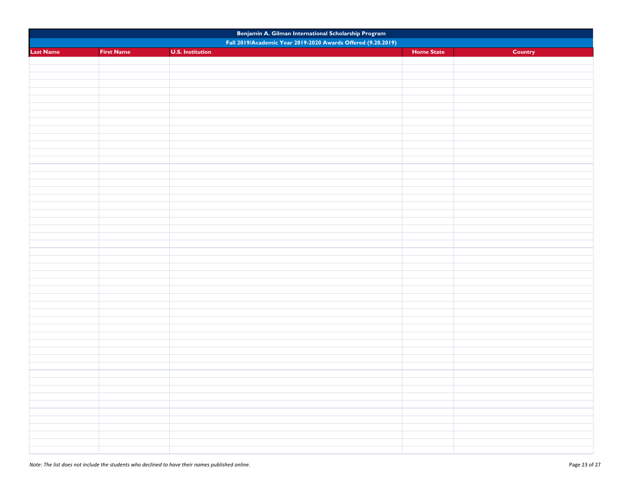| Benjamin A. Gilman International Scholarship Program |                   |                                                              |                   |         |
|------------------------------------------------------|-------------------|--------------------------------------------------------------|-------------------|---------|
|                                                      |                   | Fall 2019/Academic Year 2019-2020 Awards Offered (9.20.2019) |                   |         |
| <b>Last Name</b>                                     | <b>First Name</b> | <b>U.S. Institution</b>                                      | <b>Home State</b> | Country |
|                                                      |                   |                                                              |                   |         |
|                                                      |                   |                                                              |                   |         |
|                                                      |                   |                                                              |                   |         |
|                                                      |                   |                                                              |                   |         |
|                                                      |                   |                                                              |                   |         |
|                                                      |                   |                                                              |                   |         |
|                                                      |                   |                                                              |                   |         |
|                                                      |                   |                                                              |                   |         |
|                                                      |                   |                                                              |                   |         |
|                                                      |                   |                                                              |                   |         |
|                                                      |                   |                                                              |                   |         |
|                                                      |                   |                                                              |                   |         |
|                                                      |                   |                                                              |                   |         |
|                                                      |                   |                                                              |                   |         |
|                                                      |                   |                                                              |                   |         |
|                                                      |                   |                                                              |                   |         |
|                                                      |                   |                                                              |                   |         |
|                                                      |                   |                                                              |                   |         |
|                                                      |                   |                                                              |                   |         |
|                                                      |                   |                                                              |                   |         |
|                                                      |                   |                                                              |                   |         |
|                                                      |                   |                                                              |                   |         |
|                                                      |                   |                                                              |                   |         |
|                                                      |                   |                                                              |                   |         |
|                                                      |                   |                                                              |                   |         |
|                                                      |                   |                                                              |                   |         |
|                                                      |                   |                                                              |                   |         |
|                                                      |                   |                                                              |                   |         |
|                                                      |                   |                                                              |                   |         |
|                                                      |                   |                                                              |                   |         |
|                                                      |                   |                                                              |                   |         |
|                                                      |                   |                                                              |                   |         |
|                                                      |                   |                                                              |                   |         |
|                                                      |                   |                                                              |                   |         |
|                                                      |                   |                                                              |                   |         |
|                                                      |                   |                                                              |                   |         |
|                                                      |                   |                                                              |                   |         |
|                                                      |                   |                                                              |                   |         |
|                                                      |                   |                                                              |                   |         |
|                                                      |                   |                                                              |                   |         |
|                                                      |                   |                                                              |                   |         |
|                                                      |                   |                                                              |                   |         |
|                                                      |                   |                                                              |                   |         |
|                                                      |                   |                                                              |                   |         |
|                                                      |                   |                                                              |                   |         |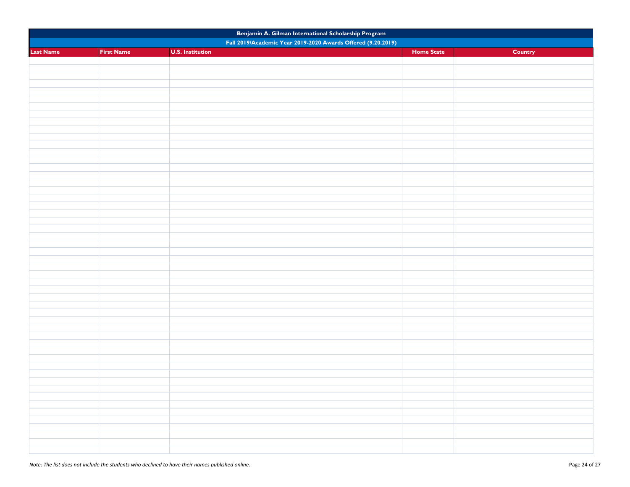| Benjamin A. Gilman International Scholarship Program |                   |                                                              |                   |         |
|------------------------------------------------------|-------------------|--------------------------------------------------------------|-------------------|---------|
|                                                      |                   | Fall 2019/Academic Year 2019-2020 Awards Offered (9.20.2019) |                   |         |
| <b>Last Name</b>                                     | <b>First Name</b> | <b>U.S. Institution</b>                                      | <b>Home State</b> | Country |
|                                                      |                   |                                                              |                   |         |
|                                                      |                   |                                                              |                   |         |
|                                                      |                   |                                                              |                   |         |
|                                                      |                   |                                                              |                   |         |
|                                                      |                   |                                                              |                   |         |
|                                                      |                   |                                                              |                   |         |
|                                                      |                   |                                                              |                   |         |
|                                                      |                   |                                                              |                   |         |
|                                                      |                   |                                                              |                   |         |
|                                                      |                   |                                                              |                   |         |
|                                                      |                   |                                                              |                   |         |
|                                                      |                   |                                                              |                   |         |
|                                                      |                   |                                                              |                   |         |
|                                                      |                   |                                                              |                   |         |
|                                                      |                   |                                                              |                   |         |
|                                                      |                   |                                                              |                   |         |
|                                                      |                   |                                                              |                   |         |
|                                                      |                   |                                                              |                   |         |
|                                                      |                   |                                                              |                   |         |
|                                                      |                   |                                                              |                   |         |
|                                                      |                   |                                                              |                   |         |
|                                                      |                   |                                                              |                   |         |
|                                                      |                   |                                                              |                   |         |
|                                                      |                   |                                                              |                   |         |
|                                                      |                   |                                                              |                   |         |
|                                                      |                   |                                                              |                   |         |
|                                                      |                   |                                                              |                   |         |
|                                                      |                   |                                                              |                   |         |
|                                                      |                   |                                                              |                   |         |
|                                                      |                   |                                                              |                   |         |
|                                                      |                   |                                                              |                   |         |
|                                                      |                   |                                                              |                   |         |
|                                                      |                   |                                                              |                   |         |
|                                                      |                   |                                                              |                   |         |
|                                                      |                   |                                                              |                   |         |
|                                                      |                   |                                                              |                   |         |
|                                                      |                   |                                                              |                   |         |
|                                                      |                   |                                                              |                   |         |
|                                                      |                   |                                                              |                   |         |
|                                                      |                   |                                                              |                   |         |
|                                                      |                   |                                                              |                   |         |
|                                                      |                   |                                                              |                   |         |
|                                                      |                   |                                                              |                   |         |
|                                                      |                   |                                                              |                   |         |
|                                                      |                   |                                                              |                   |         |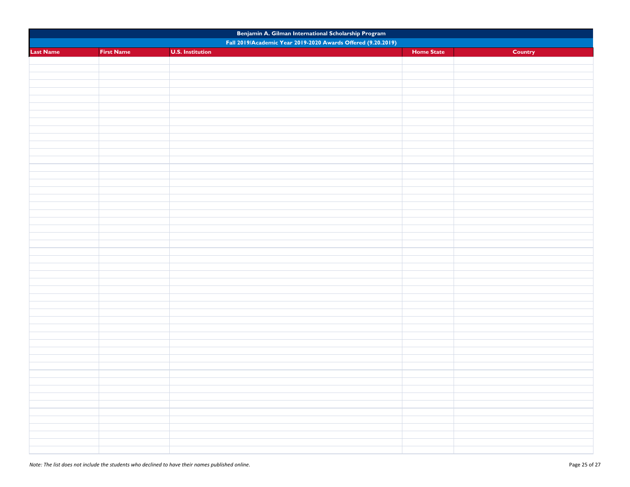| Benjamin A. Gilman International Scholarship Program         |                   |                         |                   |         |  |  |  |
|--------------------------------------------------------------|-------------------|-------------------------|-------------------|---------|--|--|--|
| Fall 2019/Academic Year 2019-2020 Awards Offered (9.20.2019) |                   |                         |                   |         |  |  |  |
| <b>Last Name</b>                                             | <b>First Name</b> | <b>U.S. Institution</b> | <b>Home State</b> | Country |  |  |  |
|                                                              |                   |                         |                   |         |  |  |  |
|                                                              |                   |                         |                   |         |  |  |  |
|                                                              |                   |                         |                   |         |  |  |  |
|                                                              |                   |                         |                   |         |  |  |  |
|                                                              |                   |                         |                   |         |  |  |  |
|                                                              |                   |                         |                   |         |  |  |  |
|                                                              |                   |                         |                   |         |  |  |  |
|                                                              |                   |                         |                   |         |  |  |  |
|                                                              |                   |                         |                   |         |  |  |  |
|                                                              |                   |                         |                   |         |  |  |  |
|                                                              |                   |                         |                   |         |  |  |  |
|                                                              |                   |                         |                   |         |  |  |  |
|                                                              |                   |                         |                   |         |  |  |  |
|                                                              |                   |                         |                   |         |  |  |  |
|                                                              |                   |                         |                   |         |  |  |  |
|                                                              |                   |                         |                   |         |  |  |  |
|                                                              |                   |                         |                   |         |  |  |  |
|                                                              |                   |                         |                   |         |  |  |  |
|                                                              |                   |                         |                   |         |  |  |  |
|                                                              |                   |                         |                   |         |  |  |  |
|                                                              |                   |                         |                   |         |  |  |  |
|                                                              |                   |                         |                   |         |  |  |  |
|                                                              |                   |                         |                   |         |  |  |  |
|                                                              |                   |                         |                   |         |  |  |  |
|                                                              |                   |                         |                   |         |  |  |  |
|                                                              |                   |                         |                   |         |  |  |  |
|                                                              |                   |                         |                   |         |  |  |  |
|                                                              |                   |                         |                   |         |  |  |  |
|                                                              |                   |                         |                   |         |  |  |  |
|                                                              |                   |                         |                   |         |  |  |  |
|                                                              |                   |                         |                   |         |  |  |  |
|                                                              |                   |                         |                   |         |  |  |  |
|                                                              |                   |                         |                   |         |  |  |  |
|                                                              |                   |                         |                   |         |  |  |  |
|                                                              |                   |                         |                   |         |  |  |  |
|                                                              |                   |                         |                   |         |  |  |  |
|                                                              |                   |                         |                   |         |  |  |  |
|                                                              |                   |                         |                   |         |  |  |  |
|                                                              |                   |                         |                   |         |  |  |  |
|                                                              |                   |                         |                   |         |  |  |  |
|                                                              |                   |                         |                   |         |  |  |  |
|                                                              |                   |                         |                   |         |  |  |  |
|                                                              |                   |                         |                   |         |  |  |  |
|                                                              |                   |                         |                   |         |  |  |  |
|                                                              |                   |                         |                   |         |  |  |  |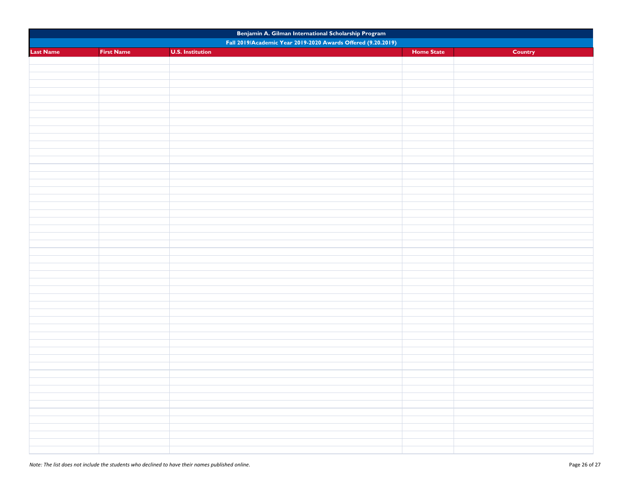| Benjamin A. Gilman International Scholarship Program         |                   |                         |                   |         |  |  |  |
|--------------------------------------------------------------|-------------------|-------------------------|-------------------|---------|--|--|--|
| Fall 2019/Academic Year 2019-2020 Awards Offered (9.20.2019) |                   |                         |                   |         |  |  |  |
| <b>Last Name</b>                                             | <b>First Name</b> | <b>U.S. Institution</b> | <b>Home State</b> | Country |  |  |  |
|                                                              |                   |                         |                   |         |  |  |  |
|                                                              |                   |                         |                   |         |  |  |  |
|                                                              |                   |                         |                   |         |  |  |  |
|                                                              |                   |                         |                   |         |  |  |  |
|                                                              |                   |                         |                   |         |  |  |  |
|                                                              |                   |                         |                   |         |  |  |  |
|                                                              |                   |                         |                   |         |  |  |  |
|                                                              |                   |                         |                   |         |  |  |  |
|                                                              |                   |                         |                   |         |  |  |  |
|                                                              |                   |                         |                   |         |  |  |  |
|                                                              |                   |                         |                   |         |  |  |  |
|                                                              |                   |                         |                   |         |  |  |  |
|                                                              |                   |                         |                   |         |  |  |  |
|                                                              |                   |                         |                   |         |  |  |  |
|                                                              |                   |                         |                   |         |  |  |  |
|                                                              |                   |                         |                   |         |  |  |  |
|                                                              |                   |                         |                   |         |  |  |  |
|                                                              |                   |                         |                   |         |  |  |  |
|                                                              |                   |                         |                   |         |  |  |  |
|                                                              |                   |                         |                   |         |  |  |  |
|                                                              |                   |                         |                   |         |  |  |  |
|                                                              |                   |                         |                   |         |  |  |  |
|                                                              |                   |                         |                   |         |  |  |  |
|                                                              |                   |                         |                   |         |  |  |  |
|                                                              |                   |                         |                   |         |  |  |  |
|                                                              |                   |                         |                   |         |  |  |  |
|                                                              |                   |                         |                   |         |  |  |  |
|                                                              |                   |                         |                   |         |  |  |  |
|                                                              |                   |                         |                   |         |  |  |  |
|                                                              |                   |                         |                   |         |  |  |  |
|                                                              |                   |                         |                   |         |  |  |  |
|                                                              |                   |                         |                   |         |  |  |  |
|                                                              |                   |                         |                   |         |  |  |  |
|                                                              |                   |                         |                   |         |  |  |  |
|                                                              |                   |                         |                   |         |  |  |  |
|                                                              |                   |                         |                   |         |  |  |  |
|                                                              |                   |                         |                   |         |  |  |  |
|                                                              |                   |                         |                   |         |  |  |  |
|                                                              |                   |                         |                   |         |  |  |  |
|                                                              |                   |                         |                   |         |  |  |  |
|                                                              |                   |                         |                   |         |  |  |  |
|                                                              |                   |                         |                   |         |  |  |  |
|                                                              |                   |                         |                   |         |  |  |  |
|                                                              |                   |                         |                   |         |  |  |  |
|                                                              |                   |                         |                   |         |  |  |  |